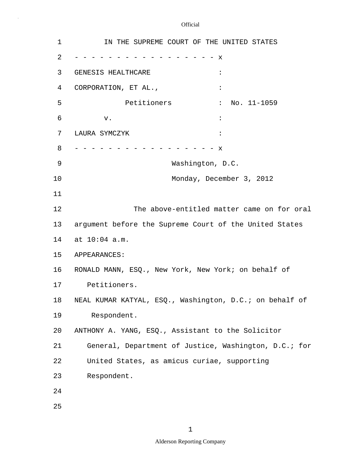3 GENESIS HEALTHCARE : Petitioners : No. 11-1059 5 10 15 20 25 1 **IN THE SUPREME COURT OF THE UNITED STATES** 2 - - - - - - - - - - - - - - - - - x 4 CORPORATION, ET AL.,  $\cdot$  $\sigma$  is the set of the set of the set of the set of the set of the set of the set of the set of the set of the set of the set of the set of the set of the set of the set of the set of the set of the set of the set of the 7 LAURA SYMCZYK : 8 - - - - - - - - - - - - - - - - x 9 Washington, D.C. Monday, December 3, 2012 11 12 The above-entitled matter came on for oral 13 argument before the Supreme Court of the United States 14 at 10:04 a.m. APPEARANCES: 16 RONALD MANN, ESQ., New York, New York; on behalf of 17 Petitioners. 18 NEAL KUMAR KATYAL, ESQ., Washington, D.C.; on behalf of 19 Respondent. ANTHONY A. YANG, ESQ., Assistant to the Solicitor 21 General, Department of Justice, Washington, D.C.; for 22 United States, as amicus curiae, supporting 23 Respondent. 24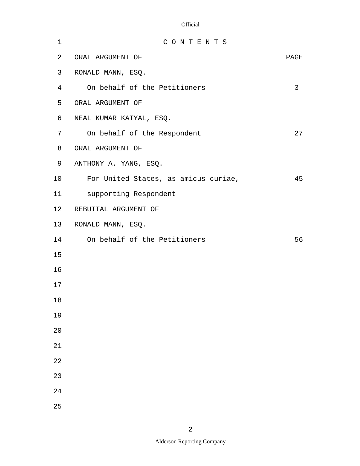| 1              | CONTENTS                             |      |
|----------------|--------------------------------------|------|
| 2              | ORAL ARGUMENT OF                     | PAGE |
| 3              | RONALD MANN, ESQ.                    |      |
| $\overline{4}$ | On behalf of the Petitioners         | 3    |
| 5              | ORAL ARGUMENT OF                     |      |
| 6              | NEAL KUMAR KATYAL, ESQ.              |      |
| 7              | On behalf of the Respondent          | 27   |
| 8              | ORAL ARGUMENT OF                     |      |
| 9              | ANTHONY A. YANG, ESQ.                |      |
| 10             | For United States, as amicus curiae, | 45   |
| 11             | supporting Respondent                |      |
| 12             | REBUTTAL ARGUMENT OF                 |      |
| 13             | RONALD MANN, ESQ.                    |      |
| 14             | On behalf of the Petitioners         | 56   |
| 15             |                                      |      |
| 16             |                                      |      |
| 17             |                                      |      |
| 18             |                                      |      |
| 19             |                                      |      |
| 20             |                                      |      |
| 21             |                                      |      |
| 22             |                                      |      |
| 23             |                                      |      |
| 24             |                                      |      |
| 25             |                                      |      |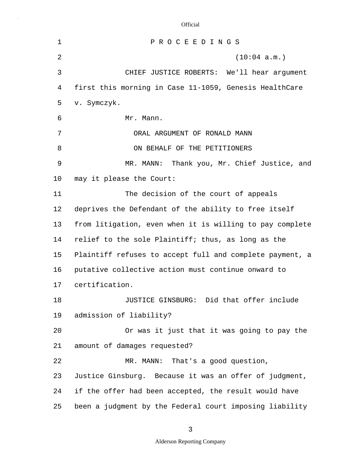| $\mathbf 1$    | PROCEEDINGS                                              |
|----------------|----------------------------------------------------------|
| $\overline{2}$ | (10:04 a.m.)                                             |
| 3              | CHIEF JUSTICE ROBERTS: We'll hear argument               |
| 4              | first this morning in Case 11-1059, Genesis HealthCare   |
| 5              | v. Symczyk.                                              |
| 6              | Mr. Mann.                                                |
| 7              | ORAL ARGUMENT OF RONALD MANN                             |
| 8              | ON BEHALF OF THE PETITIONERS                             |
| 9              | MR. MANN: Thank you, Mr. Chief Justice, and              |
| 10             | may it please the Court:                                 |
| 11             | The decision of the court of appeals                     |
| 12             | deprives the Defendant of the ability to free itself     |
| 13             | from litigation, even when it is willing to pay complete |
| 14             | relief to the sole Plaintiff; thus, as long as the       |
| 15             | Plaintiff refuses to accept full and complete payment, a |
| 16             | putative collective action must continue onward to       |
| 17             | certification.                                           |
| 18             | JUSTICE GINSBURG: Did that offer include                 |
| 19             | admission of liability?                                  |
| 20             | Or was it just that it was going to pay the              |
| 21             | amount of damages requested?                             |
| 22             | MR. MANN: That's a good question,                        |
| 23             | Justice Ginsburg. Because it was an offer of judgment,   |
| 24             | if the offer had been accepted, the result would have    |
| 25             | been a judgment by the Federal court imposing liability  |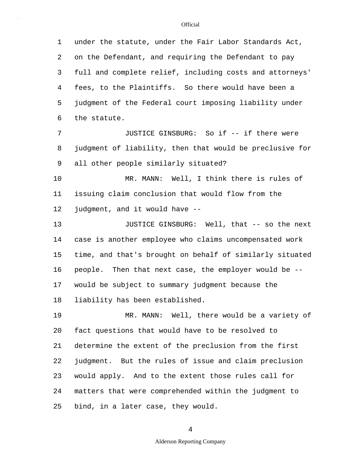5 10 15 20 25 1 under the statute, under the Fair Labor Standards Act, 2 on the Defendant, and requiring the Defendant to pay 3 full and complete relief, including costs and attorneys' 4 fees, to the Plaintiffs. So there would have been a judgment of the Federal court imposing liability under 6 the statute. 7 JUSTICE GINSBURG: So if -- if there were 8 judgment of liability, then that would be preclusive for 9 all other people similarly situated? MR. MANN: Well, I think there is rules of 11 issuing claim conclusion that would flow from the 12 judgment, and it would have -- 13 JUSTICE GINSBURG: Well, that -- so the next 14 case is another employee who claims uncompensated work time, and that's brought on behalf of similarly situated 16 people. Then that next case, the employer would be -- 17 would be subject to summary judgment because the 18 liability has been established. 19 MR. MANN: Well, there would be a variety of fact questions that would have to be resolved to 21 determine the extent of the preclusion from the first 22 judgment. But the rules of issue and claim preclusion 23 would apply. And to the extent those rules call for 24 matters that were comprehended within the judgment to bind, in a later case, they would.

4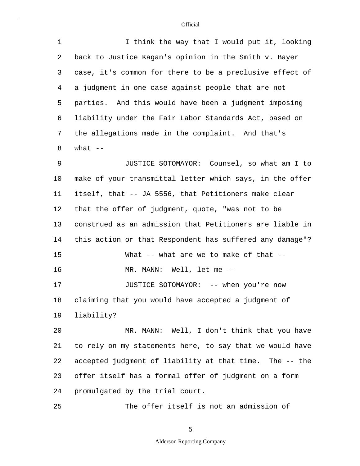| 1       | I think the way that I would put it, looking             |
|---------|----------------------------------------------------------|
| 2       | back to Justice Kagan's opinion in the Smith v. Bayer    |
| 3       | case, it's common for there to be a preclusive effect of |
| 4       | a judgment in one case against people that are not       |
| 5       | parties. And this would have been a judgment imposing    |
| 6       | liability under the Fair Labor Standards Act, based on   |
| 7       | the allegations made in the complaint. And that's        |
| 8       | what $--$                                                |
| 9       | JUSTICE SOTOMAYOR: Counsel, so what am I to              |
| $10 \,$ | make of your transmittal letter which says, in the offer |
| 11      | itself, that -- JA 5556, that Petitioners make clear     |
| 12      | that the offer of judgment, quote, "was not to be        |
| 13      | construed as an admission that Petitioners are liable in |
| 14      | this action or that Respondent has suffered any damage"? |
| 15      | What -- what are we to make of that --                   |
| 16      | MR. MANN: Well, let me --                                |
| 17      | JUSTICE SOTOMAYOR: -- when you're now                    |
| 18      | claiming that you would have accepted a judgment of      |
| 19      | liability?                                               |
| 20      | MR. MANN: Well, I don't think that you have              |
| 21      | to rely on my statements here, to say that we would have |
| 22      | accepted judgment of liability at that time. The -- the  |
| 23      | offer itself has a formal offer of judgment on a form    |
| 24      | promulgated by the trial court.                          |
| 25      | The offer itself is not an admission of                  |

5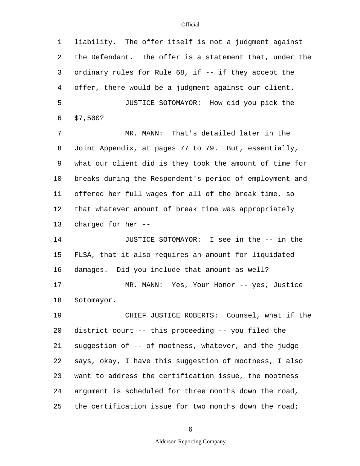5 10 15 20 25 1 liability. The offer itself is not a judgment against 2 the Defendant. The offer is a statement that, under the 3 ordinary rules for Rule 68, if -- if they accept the 4 offer, there would be a judgment against our client. JUSTICE SOTOMAYOR: How did you pick the 6 \$7,500? 7 MR. MANN: That's detailed later in the 8 Joint Appendix, at pages 77 to 79. But, essentially, 9 what our client did is they took the amount of time for breaks during the Respondent's period of employment and 11 offered her full wages for all of the break time, so 12 that whatever amount of break time was appropriately 13 charged for her -- 14 JUSTICE SOTOMAYOR: I see in the -- in the FLSA, that it also requires an amount for liquidated 16 damages. Did you include that amount as well? 17 MR. MANN: Yes, Your Honor -- yes, Justice 18 Sotomayor. 19 CHIEF JUSTICE ROBERTS: Counsel, what if the district court -- this proceeding -- you filed the 21 suggestion of -- of mootness, whatever, and the judge 22 says, okay, I have this suggestion of mootness, I also 23 want to address the certification issue, the mootness 24 argument is scheduled for three months down the road, the certification issue for two months down the road;

6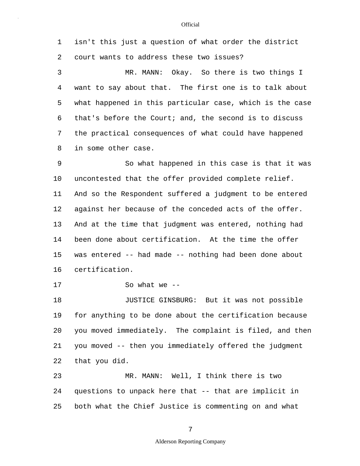1 isn't this just a question of what order the district 2 court wants to address these two issues?

5 3 MR. MANN: Okay. So there is two things I 4 want to say about that. The first one is to talk about what happened in this particular case, which is the case 6 that's before the Court; and, the second is to discuss 7 the practical consequences of what could have happened 8 in some other case.

10 15 9 So what happened in this case is that it was uncontested that the offer provided complete relief. 11 And so the Respondent suffered a judgment to be entered 12 against her because of the conceded acts of the offer. 13 And at the time that judgment was entered, nothing had 14 been done about certification. At the time the offer was entered -- had made -- nothing had been done about 16 certification.

17 So what we --

20 18 JUSTICE GINSBURG: But it was not possible 19 for anything to be done about the certification because you moved immediately. The complaint is filed, and then 21 you moved -- then you immediately offered the judgment 22 that you did.

25 23 MR. MANN: Well, I think there is two 24 questions to unpack here that -- that are implicit in both what the Chief Justice is commenting on and what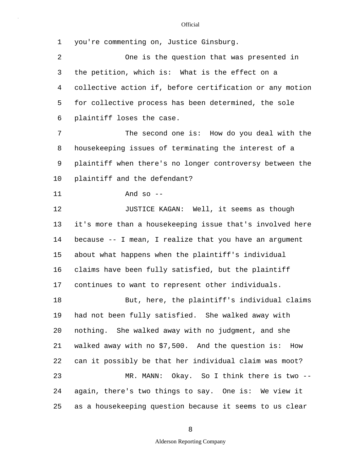5 10 15 20 25 1 you're commenting on, Justice Ginsburg. 2 One is the question that was presented in 3 the petition, which is: What is the effect on a 4 collective action if, before certification or any motion for collective process has been determined, the sole 6 plaintiff loses the case. 7 The second one is: How do you deal with the 8 housekeeping issues of terminating the interest of a 9 plaintiff when there's no longer controversy between the plaintiff and the defendant? 11 And so -- 12 **JUSTICE KAGAN:** Well, it seems as though 13 it's more than a housekeeping issue that's involved here 14 because -- I mean, I realize that you have an argument about what happens when the plaintiff's individual 16 claims have been fully satisfied, but the plaintiff 17 continues to want to represent other individuals. 18 But, here, the plaintiff's individual claims 19 had not been fully satisfied. She walked away with nothing. She walked away with no judgment, and she 21 walked away with no \$7,500. And the question is: How 22 can it possibly be that her individual claim was moot? 23 MR. MANN: Okay. So I think there is two -- 24 again, there's two things to say. One is: We view it as a housekeeping question because it seems to us clear

8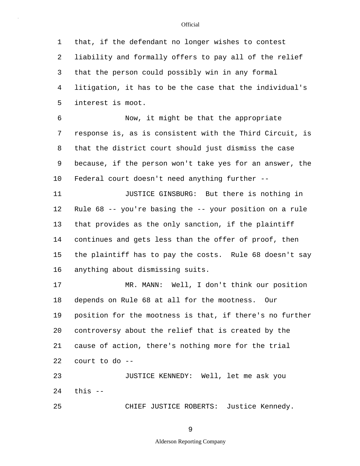5 10 15 20 25 1 that, if the defendant no longer wishes to contest 2 liability and formally offers to pay all of the relief 3 that the person could possibly win in any formal 4 litigation, it has to be the case that the individual's interest is moot. 6 Now, it might be that the appropriate 7 response is, as is consistent with the Third Circuit, is 8 that the district court should just dismiss the case 9 because, if the person won't take yes for an answer, the Federal court doesn't need anything further -- 11 **JUSTICE GINSBURG:** But there is nothing in 12 Rule 68 -- you're basing the -- your position on a rule 13 that provides as the only sanction, if the plaintiff 14 continues and gets less than the offer of proof, then the plaintiff has to pay the costs. Rule 68 doesn't say 16 anything about dismissing suits. 17 MR. MANN: Well, I don't think our position 18 depends on Rule 68 at all for the mootness. Our 19 position for the mootness is that, if there's no further controversy about the relief that is created by the 21 cause of action, there's nothing more for the trial 22 court to do -- 23 JUSTICE KENNEDY: Well, let me ask you 24 this -- CHIEF JUSTICE ROBERTS: Justice Kennedy.

9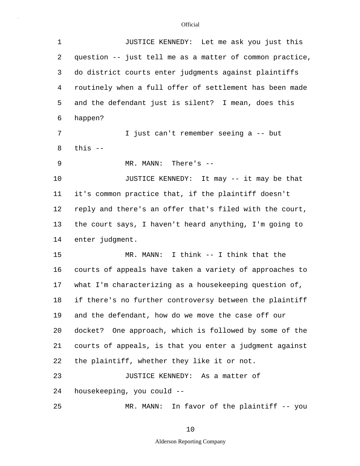| $\mathbf 1$ | JUSTICE KENNEDY: Let me ask you just this                |
|-------------|----------------------------------------------------------|
| 2           | question -- just tell me as a matter of common practice, |
| 3           | do district courts enter judgments against plaintiffs    |
| 4           | routinely when a full offer of settlement has been made  |
| 5           | and the defendant just is silent? I mean, does this      |
| 6           | happen?                                                  |
| 7           | I just can't remember seeing a -- but                    |
| 8           | this $--$                                                |
| 9           | MR. MANN: There's $-$                                    |
| 10          | JUSTICE KENNEDY: It may -- it may be that                |
| 11          | it's common practice that, if the plaintiff doesn't      |
| 12          | reply and there's an offer that's filed with the court,  |
| 13          | the court says, I haven't heard anything, I'm going to   |
| 14          | enter judgment.                                          |
| 15          | MR. MANN: I think -- I think that the                    |
| 16          | courts of appeals have taken a variety of approaches to  |
| 17          | what I'm characterizing as a housekeeping question of,   |
| 18          | if there's no further controversy between the plaintiff  |
| 19          | and the defendant, how do we move the case off our       |
| 20          | docket? One approach, which is followed by some of the   |
| 21          | courts of appeals, is that you enter a judgment against  |
| 22          | the plaintiff, whether they like it or not.              |
| 23          | JUSTICE KENNEDY: As a matter of                          |
| 24          | housekeeping, you could --                               |
| 25          | MR. MANN: In favor of the plaintiff -- you               |
|             |                                                          |

# 10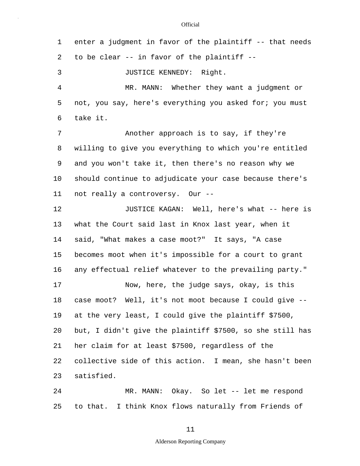| 1              | enter a judgment in favor of the plaintiff -- that needs  |
|----------------|-----------------------------------------------------------|
| 2              | to be clear -- in favor of the plaintiff --               |
| 3              | JUSTICE KENNEDY: Right.                                   |
| $\overline{4}$ | MR. MANN: Whether they want a judgment or                 |
| 5              | not, you say, here's everything you asked for; you must   |
| 6              | take it.                                                  |
| 7              | Another approach is to say, if they're                    |
| 8              | willing to give you everything to which you're entitled   |
| 9              | and you won't take it, then there's no reason why we      |
| $10 \,$        | should continue to adjudicate your case because there's   |
| 11             | not really a controversy. Our --                          |
| 12             | JUSTICE KAGAN: Well, here's what -- here is               |
| 13             | what the Court said last in Knox last year, when it       |
| 14             | said, "What makes a case moot?" It says, "A case          |
| 15             | becomes moot when it's impossible for a court to grant    |
| 16             | any effectual relief whatever to the prevailing party."   |
| 17             | Now, here, the judge says, okay, is this                  |
| 18             | case moot? Well, it's not moot because I could give       |
| 19             | at the very least, I could give the plaintiff \$7500,     |
| 20             | but, I didn't give the plaintiff \$7500, so she still has |
| 21             | her claim for at least \$7500, regardless of the          |
| 22             | collective side of this action. I mean, she hasn't been   |
| 23             | satisfied.                                                |
| 24             | MR. MANN: Okay. So let -- let me respond                  |
| 25             | to that. I think Knox flows naturally from Friends of     |

11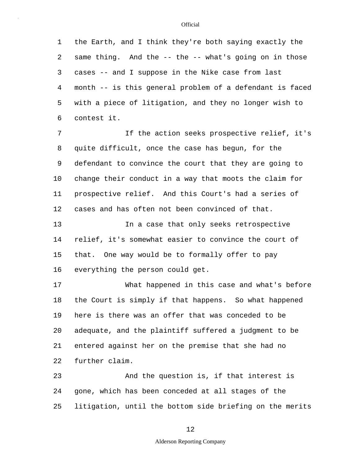5 10 15 20 25 1 the Earth, and I think they're both saying exactly the 2 same thing. And the -- the -- what's going on in those 3 cases -- and I suppose in the Nike case from last 4 month -- is this general problem of a defendant is faced with a piece of litigation, and they no longer wish to 6 contest it. 7 If the action seeks prospective relief, it's 8 quite difficult, once the case has begun, for the 9 defendant to convince the court that they are going to change their conduct in a way that moots the claim for 11 prospective relief. And this Court's had a series of 12 cases and has often not been convinced of that. 13 In a case that only seeks retrospective 14 relief, it's somewhat easier to convince the court of that. One way would be to formally offer to pay 16 everything the person could get. 17 What happened in this case and what's before 18 the Court is simply if that happens. So what happened 19 here is there was an offer that was conceded to be adequate, and the plaintiff suffered a judgment to be 21 entered against her on the premise that she had no 22 further claim. 23 And the question is, if that interest is 24 gone, which has been conceded at all stages of the litigation, until the bottom side briefing on the merits

### 12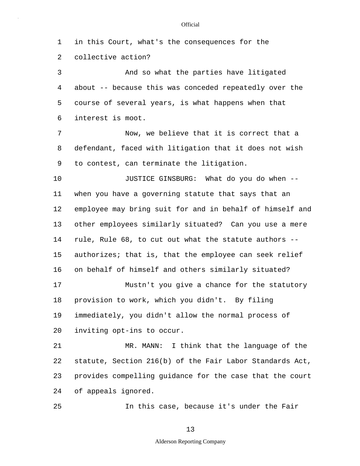5 10 15 20 25 1 in this Court, what's the consequences for the 2 collective action? 3 And so what the parties have litigated 4 about -- because this was conceded repeatedly over the course of several years, is what happens when that 6 interest is moot. 7 Now, we believe that it is correct that a 8 defendant, faced with litigation that it does not wish 9 to contest, can terminate the litigation. JUSTICE GINSBURG: What do you do when -- 11 when you have a governing statute that says that an 12 employee may bring suit for and in behalf of himself and 13 other employees similarly situated? Can you use a mere 14 rule, Rule 68, to cut out what the statute authors - authorizes; that is, that the employee can seek relief 16 on behalf of himself and others similarly situated? 17 Mustn't you give a chance for the statutory 18 provision to work, which you didn't. By filing 19 immediately, you didn't allow the normal process of inviting opt-ins to occur. 21 MR. MANN: I think that the language of the 22 statute, Section 216(b) of the Fair Labor Standards Act, 23 provides compelling guidance for the case that the court 24 of appeals ignored. In this case, because it's under the Fair

13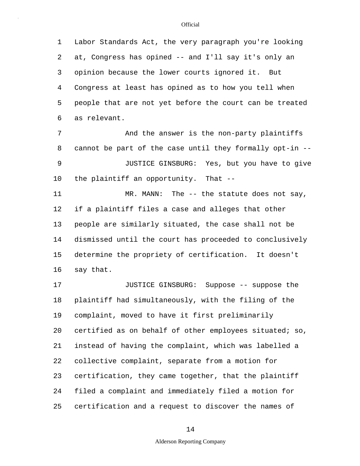5 1 Labor Standards Act, the very paragraph you're looking 2 at, Congress has opined -- and I'll say it's only an 3 opinion because the lower courts ignored it. But 4 Congress at least has opined as to how you tell when people that are not yet before the court can be treated 6 as relevant.

10 7 And the answer is the non-party plaintiffs 8 cannot be part of the case until they formally opt-in -- 9 JUSTICE GINSBURG: Yes, but you have to give the plaintiff an opportunity. That --

15 11 MR. MANN: The -- the statute does not say, 12 if a plaintiff files a case and alleges that other 13 people are similarly situated, the case shall not be 14 dismissed until the court has proceeded to conclusively determine the propriety of certification. It doesn't 16 say that.

20 25 17 JUSTICE GINSBURG: Suppose -- suppose the 18 plaintiff had simultaneously, with the filing of the 19 complaint, moved to have it first preliminarily certified as on behalf of other employees situated; so, 21 instead of having the complaint, which was labelled a 22 collective complaint, separate from a motion for 23 certification, they came together, that the plaintiff 24 filed a complaint and immediately filed a motion for certification and a request to discover the names of

#### 14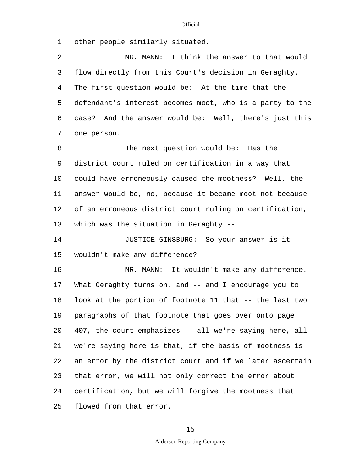1 other people similarly situated.

5 10 2 MR. MANN: I think the answer to that would 3 flow directly from this Court's decision in Geraghty. 4 The first question would be: At the time that the defendant's interest becomes moot, who is a party to the 6 case? And the answer would be: Well, there's just this 7 one person. 8 The next question would be: Has the 9 district court ruled on certification in a way that could have erroneously caused the mootness? Well, the 11 answer would be, no, because it became moot not because 12 of an erroneous district court ruling on certification,

13 which was the situation in Geraghty --

15 14 JUSTICE GINSBURG: So your answer is it wouldn't make any difference?

20 25 16 MR. MANN: It wouldn't make any difference. 17 What Geraghty turns on, and -- and I encourage you to 18 look at the portion of footnote 11 that -- the last two 19 paragraphs of that footnote that goes over onto page 407, the court emphasizes -- all we're saying here, all 21 we're saying here is that, if the basis of mootness is 22 an error by the district court and if we later ascertain 23 that error, we will not only correct the error about 24 certification, but we will forgive the mootness that flowed from that error.

### 15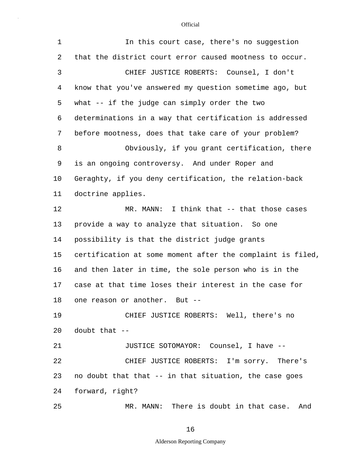| $\mathbf{1}$ | In this court case, there's no suggestion                  |
|--------------|------------------------------------------------------------|
| 2            | that the district court error caused mootness to occur.    |
| 3            | CHIEF JUSTICE ROBERTS: Counsel, I don't                    |
| 4            | know that you've answered my question sometime ago, but    |
| 5            | what -- if the judge can simply order the two              |
| 6            | determinations in a way that certification is addressed    |
| 7            | before mootness, does that take care of your problem?      |
| 8            | Obviously, if you grant certification, there               |
| 9            | is an ongoing controversy. And under Roper and             |
| 10           | Geraghty, if you deny certification, the relation-back     |
| 11           | doctrine applies.                                          |
| 12           | MR. MANN: I think that -- that those cases                 |
| 13           | provide a way to analyze that situation. So one            |
| 14           | possibility is that the district judge grants              |
| 15           | certification at some moment after the complaint is filed, |
| 16           | and then later in time, the sole person who is in the      |
| 17           | case at that time loses their interest in the case for     |
| 18           | one reason or another. But --                              |
| 19           | CHIEF JUSTICE ROBERTS: Well, there's no                    |
| 20           | doubt that $--$                                            |
| 21           | JUSTICE SOTOMAYOR: Counsel, I have --                      |
| 22           | CHIEF JUSTICE ROBERTS: I'm sorry. There's                  |
| 23           | no doubt that that -- in that situation, the case goes     |
| 24           | forward, right?                                            |
| 25           | MR. MANN: There is doubt in that case. And                 |

16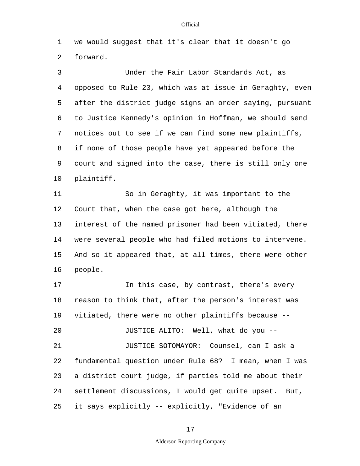1 we would suggest that it's clear that it doesn't go 2 forward.

5 10 3 Under the Fair Labor Standards Act, as 4 opposed to Rule 23, which was at issue in Geraghty, even after the district judge signs an order saying, pursuant 6 to Justice Kennedy's opinion in Hoffman, we should send 7 notices out to see if we can find some new plaintiffs, 8 if none of those people have yet appeared before the 9 court and signed into the case, there is still only one plaintiff.

15 11 So in Geraghty, it was important to the 12 Court that, when the case got here, although the 13 interest of the named prisoner had been vitiated, there 14 were several people who had filed motions to intervene. And so it appeared that, at all times, there were other 16 people.

20 25 17 17 In this case, by contrast, there's every 18 reason to think that, after the person's interest was 19 vitiated, there were no other plaintiffs because -- JUSTICE ALITO: Well, what do you -- 21 JUSTICE SOTOMAYOR: Counsel, can I ask a 22 fundamental question under Rule 68? I mean, when I was 23 a district court judge, if parties told me about their 24 settlement discussions, I would get quite upset. But, it says explicitly -- explicitly, "Evidence of an

#### **Official**

17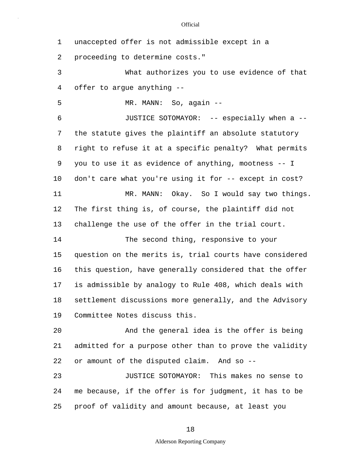1 unaccepted offer is not admissible except in a

2 proceeding to determine costs."

3 What authorizes you to use evidence of that 4 offer to argue anything --

5 MR. MANN: So, again --

10 6 JUSTICE SOTOMAYOR: -- especially when a -- 7 the statute gives the plaintiff an absolute statutory 8 right to refuse it at a specific penalty? What permits 9 you to use it as evidence of anything, mootness -- I don't care what you're using it for -- except in cost? 11 MR. MANN: Okay. So I would say two things. 12 The first thing is, of course, the plaintiff did not 13 challenge the use of the offer in the trial court.

15 14 The second thing, responsive to your question on the merits is, trial courts have considered 16 this question, have generally considered that the offer 17 is admissible by analogy to Rule 408, which deals with 18 settlement discussions more generally, and the Advisory 19 Committee Notes discuss this.

20 And the general idea is the offer is being 21 admitted for a purpose other than to prove the validity 22 or amount of the disputed claim. And so --

25 23 JUSTICE SOTOMAYOR: This makes no sense to 24 me because, if the offer is for judgment, it has to be proof of validity and amount because, at least you

18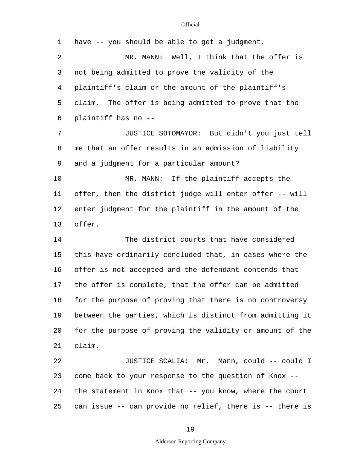| 1  | have -- you should be able to get a judgment.            |
|----|----------------------------------------------------------|
| 2  | MR. MANN: Well, I think that the offer is                |
| 3  | not being admitted to prove the validity of the          |
| 4  | plaintiff's claim or the amount of the plaintiff's       |
| 5  | claim. The offer is being admitted to prove that the     |
| 6  | plaintiff has no --                                      |
| 7  | JUSTICE SOTOMAYOR: But didn't you just tell              |
| 8  | me that an offer results in an admission of liability    |
| 9  | and a judgment for a particular amount?                  |
| 10 | If the plaintiff accepts the<br>MR. MANN:                |
| 11 | offer, then the district judge will enter offer -- will  |
| 12 | enter judgment for the plaintiff in the amount of the    |
| 13 | offer.                                                   |
| 14 | The district courts that have considered                 |
| 15 | this have ordinarily concluded that, in cases where the  |
| 16 | offer is not accepted and the defendant contends that    |
| 17 | the offer is complete, that the offer can be admitted    |
| 18 | for the purpose of proving that there is no controversy  |
| 19 | between the parties, which is distinct from admitting it |
| 20 | for the purpose of proving the validity or amount of the |
| 21 | claim.                                                   |
| 22 | JUSTICE SCALIA: Mr. Mann, could -- could I               |
| 23 | come back to your response to the question of Knox --    |
| 24 | the statement in Knox that -- you know, where the court  |
| 25 | can issue -- can provide no relief, there is -- there is |

# 19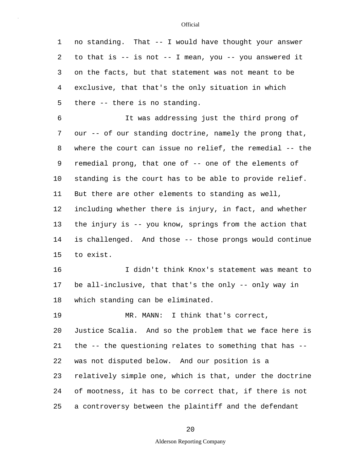5 10 15 1 no standing. That -- I would have thought your answer 2 to that is -- is not -- I mean, you -- you answered it 3 on the facts, but that statement was not meant to be 4 exclusive, that that's the only situation in which there -- there is no standing. 6 It was addressing just the third prong of 7 our -- of our standing doctrine, namely the prong that, 8 where the court can issue no relief, the remedial -- the 9 remedial prong, that one of -- one of the elements of standing is the court has to be able to provide relief. 11 But there are other elements to standing as well, 12 including whether there is injury, in fact, and whether 13 the injury is -- you know, springs from the action that 14 is challenged. And those -- those prongs would continue to exist. 16 I didn't think Knox's statement was meant to 17 be all-inclusive, that that's the only -- only way in

18 which standing can be eliminated.

20 25 19 MR. MANN: I think that's correct, Justice Scalia. And so the problem that we face here is 21 the -- the questioning relates to something that has -- 22 was not disputed below. And our position is a 23 relatively simple one, which is that, under the doctrine 24 of mootness, it has to be correct that, if there is not a controversy between the plaintiff and the defendant

20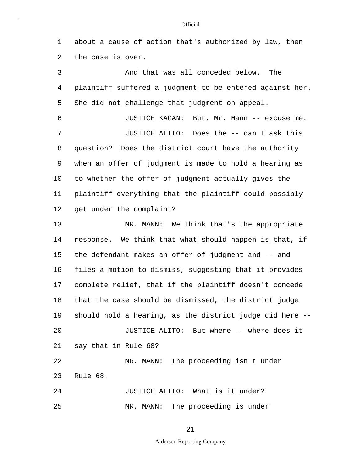1 about a cause of action that's authorized by law, then 2 the case is over.

5 10 15 20 3 And that was all conceded below. The 4 plaintiff suffered a judgment to be entered against her. She did not challenge that judgment on appeal. 6 JUSTICE KAGAN: But, Mr. Mann -- excuse me. 7 JUSTICE ALITO: Does the -- can I ask this 8 question? Does the district court have the authority 9 when an offer of judgment is made to hold a hearing as to whether the offer of judgment actually gives the 11 plaintiff everything that the plaintiff could possibly 12 get under the complaint? 13 MR. MANN: We think that's the appropriate 14 response. We think that what should happen is that, if the defendant makes an offer of judgment and -- and 16 files a motion to dismiss, suggesting that it provides 17 complete relief, that if the plaintiff doesn't concede 18 that the case should be dismissed, the district judge 19 should hold a hearing, as the district judge did here -- JUSTICE ALITO: But where -- where does it 21 say that in Rule 68? 22 MR. MANN: The proceeding isn't under 23 Rule 68. 24 JUSTICE ALITO: What is it under?

MR. MANN: The proceeding is under

25

21

Alderson Reporting Company

#### **Official**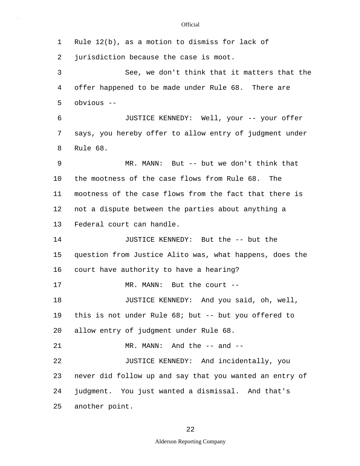5 10 15 20 25 1 Rule 12(b), as a motion to dismiss for lack of 2 jurisdiction because the case is moot. 3 See, we don't think that it matters that the 4 offer happened to be made under Rule 68. There are obvious -- 6 JUSTICE KENNEDY: Well, your -- your offer 7 says, you hereby offer to allow entry of judgment under 8 Rule 68. 9 MR. MANN: But -- but we don't think that the mootness of the case flows from Rule 68. The 11 mootness of the case flows from the fact that there is 12 not a dispute between the parties about anything a 13 Federal court can handle. 14 JUSTICE KENNEDY: But the -- but the question from Justice Alito was, what happens, does the 16 court have authority to have a hearing? 17 MR. MANN: But the court --18 **JUSTICE KENNEDY:** And you said, oh, well, 19 this is not under Rule 68; but -- but you offered to allow entry of judgment under Rule 68. 21 MR. MANN: And the -- and --22 JUSTICE KENNEDY: And incidentally, you 23 never did follow up and say that you wanted an entry of 24 judgment. You just wanted a dismissal. And that's another point.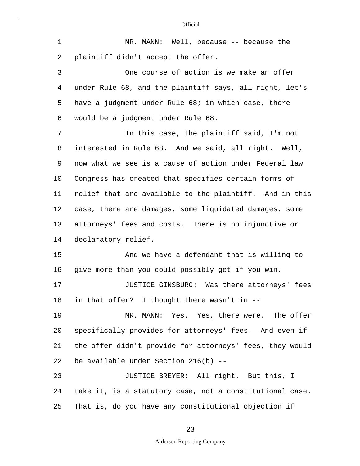| $\mathbf 1$ | $MR.$ MANN: Well, because -- because the                 |
|-------------|----------------------------------------------------------|
| 2           | plaintiff didn't accept the offer.                       |
| 3           | One course of action is we make an offer                 |
| 4           | under Rule 68, and the plaintiff says, all right, let's  |
| 5           | have a judgment under Rule 68; in which case, there      |
| 6           | would be a judgment under Rule 68.                       |
| 7           | In this case, the plaintiff said, I'm not                |
| 8           | interested in Rule 68. And we said, all right. Well,     |
| 9           | now what we see is a cause of action under Federal law   |
| 10          | Congress has created that specifies certain forms of     |
| 11          | relief that are available to the plaintiff. And in this  |
| 12          | case, there are damages, some liquidated damages, some   |
| 13          | attorneys' fees and costs. There is no injunctive or     |
| 14          | declaratory relief.                                      |
| 15          | And we have a defendant that is willing to               |
| 16          | give more than you could possibly get if you win.        |
| 17          | JUSTICE GINSBURG: Was there attorneys' fees              |
| 18          | in that offer? I thought there wasn't in --              |
| 19          | MR. MANN: Yes. Yes, there were. The offer                |
| 20          | specifically provides for attorneys' fees. And even if   |
| 21          | the offer didn't provide for attorneys' fees, they would |
| 22          | be available under Section $216(b)$ --                   |
| 23          | JUSTICE BREYER: All right. But this, I                   |
| 24          | take it, is a statutory case, not a constitutional case. |
| 25          | That is, do you have any constitutional objection if     |

# 23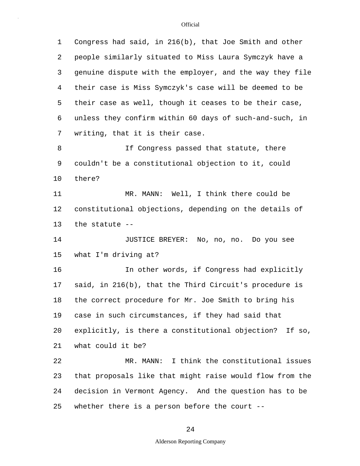| 1       | Congress had said, in 216(b), that Joe Smith and other   |
|---------|----------------------------------------------------------|
| 2       | people similarly situated to Miss Laura Symczyk have a   |
| 3       | genuine dispute with the employer, and the way they file |
| 4       | their case is Miss Symczyk's case will be deemed to be   |
| 5       | their case as well, though it ceases to be their case,   |
| 6       | unless they confirm within 60 days of such-and-such, in  |
| 7       | writing, that it is their case.                          |
| 8       | If Congress passed that statute, there                   |
| 9       | couldn't be a constitutional objection to it, could      |
| $10 \,$ | there?                                                   |
| 11      | MR. MANN: Well, I think there could be                   |
| 12      | constitutional objections, depending on the details of   |
| 13      | the statute --                                           |
| 14      | JUSTICE BREYER: No, no, no. Do you see                   |
| 15      | what I'm driving at?                                     |
| 16      | In other words, if Congress had explicitly               |
| 17      | said, in 216(b), that the Third Circuit's procedure is   |
| 18      | the correct procedure for Mr. Joe Smith to bring his     |
| 19      | case in such circumstances, if they had said that        |
| 20      | explicitly, is there a constitutional objection? If so,  |
| 21      | what could it be?                                        |
| 22      | MR. MANN: I think the constitutional issues              |
| 23      | that proposals like that might raise would flow from the |
| 24      | decision in Vermont Agency. And the question has to be   |
| 25      | whether there is a person before the court $--$          |

## 24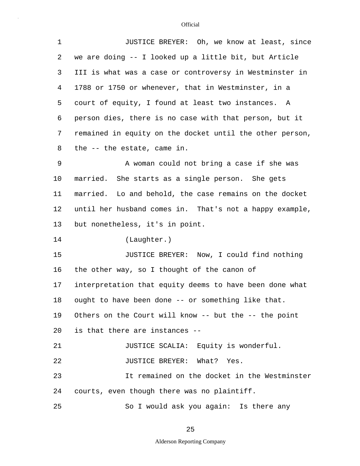| $\mathbf 1$ | JUSTICE BREYER: Oh, we know at least, since              |
|-------------|----------------------------------------------------------|
| 2           | we are doing -- I looked up a little bit, but Article    |
| 3           | III is what was a case or controversy in Westminster in  |
| 4           | 1788 or 1750 or whenever, that in Westminster, in a      |
| 5           | court of equity, I found at least two instances. A       |
| 6           | person dies, there is no case with that person, but it   |
| 7           | remained in equity on the docket until the other person, |
| 8           | the -- the estate, came in.                              |
| 9           | A woman could not bring a case if she was                |
| 10          | married. She starts as a single person. She gets         |
| 11          | married. Lo and behold, the case remains on the docket   |
| 12          | until her husband comes in. That's not a happy example,  |
| 13          | but nonetheless, it's in point.                          |
| 14          | (Laughter.)                                              |
| 15          | JUSTICE BREYER: Now, I could find nothing                |
| 16          | the other way, so I thought of the canon of              |
| 17          | interpretation that equity deems to have been done what  |
| 18          | ought to have been done -- or something like that.       |
| 19          | Others on the Court will know -- but the -- the point    |
| 20          | is that there are instances --                           |
| 21          | JUSTICE SCALIA: Equity is wonderful.                     |
| 22          | JUSTICE BREYER: What? Yes.                               |
| 23          | It remained on the docket in the Westminster             |
| 24          | courts, even though there was no plaintiff.              |
| 25          | So I would ask you again: Is there any                   |

25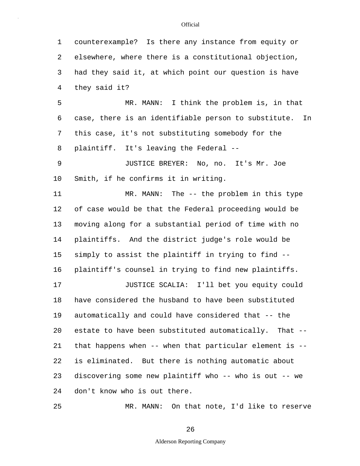5 10 15 20 25 1 counterexample? Is there any instance from equity or 2 elsewhere, where there is a constitutional objection, 3 had they said it, at which point our question is have 4 they said it? MR. MANN: I think the problem is, in that 6 case, there is an identifiable person to substitute. In 7 this case, it's not substituting somebody for the 8 plaintiff. It's leaving the Federal -- 9 JUSTICE BREYER: No, no. It's Mr. Joe Smith, if he confirms it in writing. 11 MR. MANN: The -- the problem in this type 12 of case would be that the Federal proceeding would be 13 moving along for a substantial period of time with no 14 plaintiffs. And the district judge's role would be simply to assist the plaintiff in trying to find -- 16 plaintiff's counsel in trying to find new plaintiffs. 17 JUSTICE SCALIA: I'll bet you equity could 18 have considered the husband to have been substituted 19 automatically and could have considered that -- the estate to have been substituted automatically. That -- 21 that happens when -- when that particular element is -- 22 is eliminated. But there is nothing automatic about 23 discovering some new plaintiff who -- who is out -- we 24 don't know who is out there. MR. MANN: On that note, I'd like to reserve

26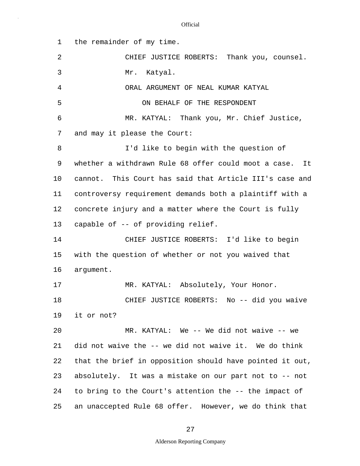| 1  | the remainder of my time.                                |
|----|----------------------------------------------------------|
| 2  | CHIEF JUSTICE ROBERTS: Thank you, counsel.               |
| 3  | Mr. Katyal.                                              |
| 4  | ORAL ARGUMENT OF NEAL KUMAR KATYAL                       |
| 5  | ON BEHALF OF THE RESPONDENT                              |
| 6  | MR. KATYAL: Thank you, Mr. Chief Justice,                |
| 7  | and may it please the Court:                             |
| 8  | I'd like to begin with the question of                   |
| 9  | whether a withdrawn Rule 68 offer could moot a case. It  |
| 10 | cannot. This Court has said that Article III's case and  |
| 11 | controversy requirement demands both a plaintiff with a  |
| 12 | concrete injury and a matter where the Court is fully    |
| 13 | capable of -- of providing relief.                       |
| 14 | CHIEF JUSTICE ROBERTS: I'd like to begin                 |
| 15 | with the question of whether or not you waived that      |
| 16 | argument.                                                |
| 17 | MR. KATYAL: Absolutely, Your Honor.                      |
| 18 | CHIEF JUSTICE ROBERTS: No -- did you waive               |
| 19 | it or not?                                               |
| 20 | MR. KATYAL: We -- We did not waive -- we                 |
| 21 | did not waive the -- we did not waive it. We do think    |
| 22 | that the brief in opposition should have pointed it out, |
| 23 | absolutely. It was a mistake on our part not to -- not   |
| 24 | to bring to the Court's attention the -- the impact of   |
| 25 | an unaccepted Rule 68 offer. However, we do think that   |

27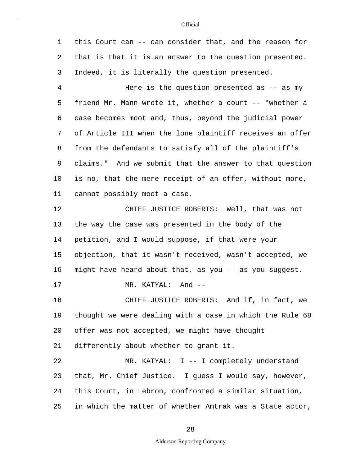5 10 15 20 1 this Court can -- can consider that, and the reason for 2 that is that it is an answer to the question presented. 3 Indeed, it is literally the question presented. 4 Here is the question presented as -- as my friend Mr. Mann wrote it, whether a court -- "whether a 6 case becomes moot and, thus, beyond the judicial power 7 of Article III when the lone plaintiff receives an offer 8 from the defendants to satisfy all of the plaintiff's 9 claims." And we submit that the answer to that question is no, that the mere receipt of an offer, without more, 11 cannot possibly moot a case. 12 CHIEF JUSTICE ROBERTS: Well, that was not 13 the way the case was presented in the body of the 14 petition, and I would suppose, if that were your objection, that it wasn't received, wasn't accepted, we 16 might have heard about that, as you -- as you suggest. 17 MR. KATYAL: And --18 CHIEF JUSTICE ROBERTS: And if, in fact, we 19 thought we were dealing with a case in which the Rule 68 offer was not accepted, we might have thought 21 differently about whether to grant it. 22 MR. KATYAL: I -- I completely understand 23 that, Mr. Chief Justice. I guess I would say, however, 24 this Court, in Lebron, confronted a similar situation,

25 in which the matter of whether Amtrak was a State actor,

### 28

### Alderson Reporting Company

### **Official**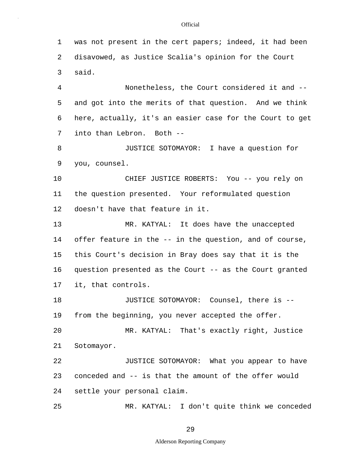5 10 15 20 25 1 was not present in the cert papers; indeed, it had been 2 disavowed, as Justice Scalia's opinion for the Court 3 said. 4 Nonetheless, the Court considered it and - and got into the merits of that question. And we think 6 here, actually, it's an easier case for the Court to get 7 into than Lebron. Both -- 8 JUSTICE SOTOMAYOR: I have a question for 9 you, counsel. CHIEF JUSTICE ROBERTS: You -- you rely on 11 the question presented. Your reformulated question 12 doesn't have that feature in it. 13 MR. KATYAL: It does have the unaccepted 14 offer feature in the -- in the question, and of course, this Court's decision in Bray does say that it is the 16 question presented as the Court -- as the Court granted 17 it, that controls. 18 JUSTICE SOTOMAYOR: Counsel, there is -- 19 from the beginning, you never accepted the offer. MR. KATYAL: That's exactly right, Justice 21 Sotomayor. 22 JUSTICE SOTOMAYOR: What you appear to have 23 conceded and -- is that the amount of the offer would 24 settle your personal claim. MR. KATYAL: I don't quite think we conceded

29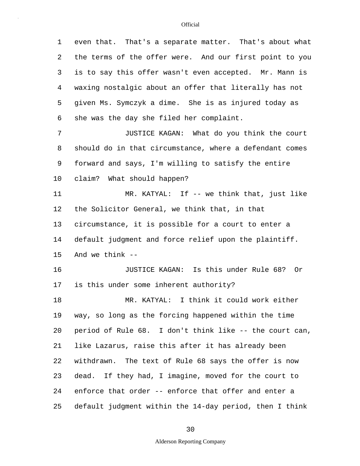5 10 15 20 25 1 even that. That's a separate matter. That's about what 2 the terms of the offer were. And our first point to you 3 is to say this offer wasn't even accepted. Mr. Mann is 4 waxing nostalgic about an offer that literally has not given Ms. Symczyk a dime. She is as injured today as 6 she was the day she filed her complaint. 7 JUSTICE KAGAN: What do you think the court 8 should do in that circumstance, where a defendant comes 9 forward and says, I'm willing to satisfy the entire claim? What should happen? 11 MR. KATYAL: If -- we think that, just like 12 the Solicitor General, we think that, in that 13 circumstance, it is possible for a court to enter a 14 default judgment and force relief upon the plaintiff. And we think -- 16 JUSTICE KAGAN: Is this under Rule 68? Or 17 is this under some inherent authority? 18 MR. KATYAL: I think it could work either 19 way, so long as the forcing happened within the time period of Rule 68. I don't think like -- the court can, 21 like Lazarus, raise this after it has already been 22 withdrawn. The text of Rule 68 says the offer is now 23 dead. If they had, I imagine, moved for the court to 24 enforce that order -- enforce that offer and enter a default judgment within the 14-day period, then I think

30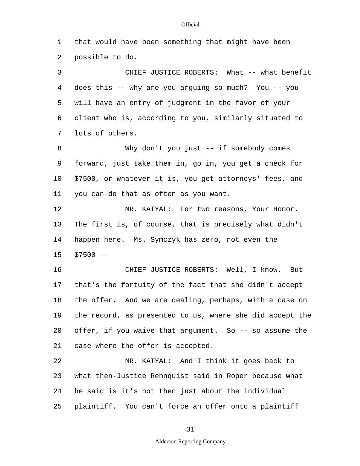1 that would have been something that might have been 2 possible to do. 3 CHIEF JUSTICE ROBERTS: What -- what benefit

5 4 does this -- why are you arguing so much? You -- you will have an entry of judgment in the favor of your 6 client who is, according to you, similarly situated to 7 lots of others.

10 8 Why don't you just -- if somebody comes 9 forward, just take them in, go in, you get a check for \$7500, or whatever it is, you get attorneys' fees, and 11 you can do that as often as you want.

15 12 MR. KATYAL: For two reasons, Your Honor. 13 The first is, of course, that is precisely what didn't 14 happen here. Ms. Symczyk has zero, not even the  $$7500 --$ 

20 16 CHIEF JUSTICE ROBERTS: Well, I know. But 17 that's the fortuity of the fact that she didn't accept 18 the offer. And we are dealing, perhaps, with a case on 19 the record, as presented to us, where she did accept the offer, if you waive that argument. So -- so assume the 21 case where the offer is accepted.

25 22 MR. KATYAL: And I think it goes back to 23 what then-Justice Rehnquist said in Roper because what 24 he said is it's not then just about the individual plaintiff. You can't force an offer onto a plaintiff

#### **Official**

Alderson Reporting Company

31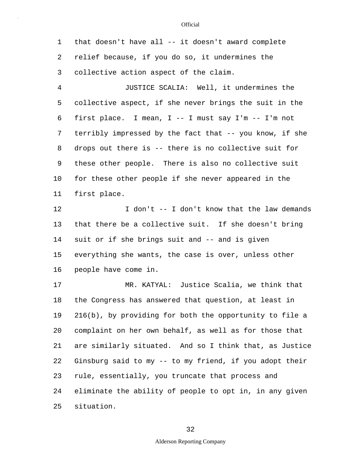5 10 15 20 25 1 that doesn't have all -- it doesn't award complete 2 relief because, if you do so, it undermines the 3 collective action aspect of the claim. 4 JUSTICE SCALIA: Well, it undermines the collective aspect, if she never brings the suit in the 6 first place. I mean, I -- I must say I'm -- I'm not 7 terribly impressed by the fact that -- you know, if she 8 drops out there is -- there is no collective suit for 9 these other people. There is also no collective suit for these other people if she never appeared in the 11 first place. 12 I don't -- I don't know that the law demands 13 that there be a collective suit. If she doesn't bring 14 suit or if she brings suit and -- and is given everything she wants, the case is over, unless other 16 people have come in. 17 MR. KATYAL: Justice Scalia, we think that 18 the Congress has answered that question, at least in 19 216(b), by providing for both the opportunity to file a complaint on her own behalf, as well as for those that 21 are similarly situated. And so I think that, as Justice 22 Ginsburg said to my -- to my friend, if you adopt their 23 rule, essentially, you truncate that process and 24 eliminate the ability of people to opt in, in any given situation.

32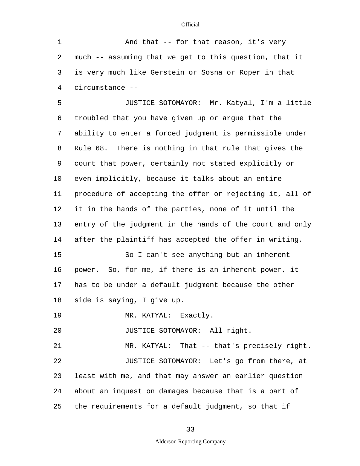5 10 15 20 25 1 And that -- for that reason, it's very 2 much -- assuming that we get to this question, that it 3 is very much like Gerstein or Sosna or Roper in that 4 circumstance -- JUSTICE SOTOMAYOR: Mr. Katyal, I'm a little 6 troubled that you have given up or argue that the 7 ability to enter a forced judgment is permissible under 8 Rule 68. There is nothing in that rule that gives the 9 court that power, certainly not stated explicitly or even implicitly, because it talks about an entire 11 procedure of accepting the offer or rejecting it, all of 12 it in the hands of the parties, none of it until the 13 entry of the judgment in the hands of the court and only 14 after the plaintiff has accepted the offer in writing. So I can't see anything but an inherent 16 power. So, for me, if there is an inherent power, it 17 has to be under a default judgment because the other 18 side is saying, I give up. 19 MR. KATYAL: Exactly. JUSTICE SOTOMAYOR: All right. 21 MR. KATYAL: That -- that's precisely right. 22 JUSTICE SOTOMAYOR: Let's go from there, at 23 least with me, and that may answer an earlier question 24 about an inquest on damages because that is a part of the requirements for a default judgment, so that if

33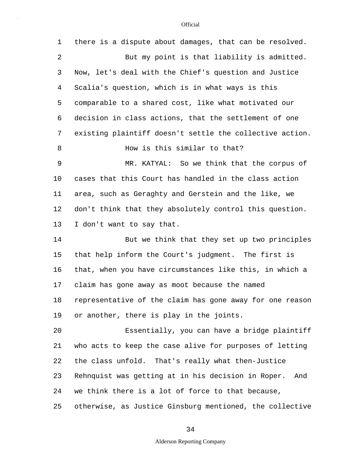| $\mathbf 1$ | there is a dispute about damages, that can be resolved.   |
|-------------|-----------------------------------------------------------|
| 2           | But my point is that liability is admitted.               |
| 3           | Now, let's deal with the Chief's question and Justice     |
| 4           | Scalia's question, which is in what ways is this          |
| 5           | comparable to a shared cost, like what motivated our      |
| 6           | decision in class actions, that the settlement of one     |
| 7           | existing plaintiff doesn't settle the collective action.  |
| 8           | How is this similar to that?                              |
| 9           | MR. KATYAL: So we think that the corpus of                |
| 10          | cases that this Court has handled in the class action     |
| 11          | area, such as Geraghty and Gerstein and the like, we      |
| 12          | don't think that they absolutely control this question.   |
| 13          | I don't want to say that.                                 |
| 14          | But we think that they set up two principles              |
| 15          | that help inform the Court's judgment. The first is       |
| 16          | that, when you have circumstances like this, in which a   |
| 17          | claim has gone away as moot because the named             |
| 18          | representative of the claim has gone away for one reason  |
| 19          | or another, there is play in the joints.                  |
| 20          | Essentially, you can have a bridge plaintiff              |
| 21          | who acts to keep the case alive for purposes of letting   |
| 22          | the class unfold. That's really what then-Justice         |
| 23          | Rehnquist was getting at in his decision in Roper.<br>And |
| 24          | we think there is a lot of force to that because,         |
| 25          | otherwise, as Justice Ginsburg mentioned, the collective  |

34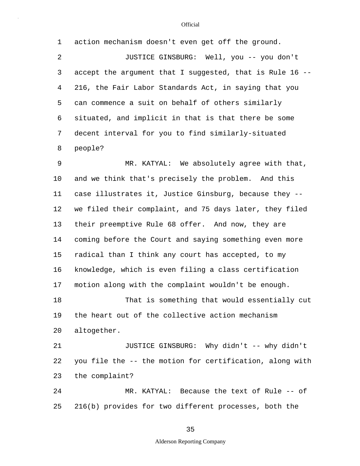| 1  | action mechanism doesn't even get off the ground.        |
|----|----------------------------------------------------------|
| 2  | JUSTICE GINSBURG: Well, you -- you don't                 |
| 3  | accept the argument that I suggested, that is Rule 16 -- |
| 4  | 216, the Fair Labor Standards Act, in saying that you    |
| 5  | can commence a suit on behalf of others similarly        |
| 6  | situated, and implicit in that is that there be some     |
| 7  | decent interval for you to find similarly-situated       |
| 8  | people?                                                  |
| 9  | MR. KATYAL: We absolutely agree with that,               |
| 10 | and we think that's precisely the problem. And this      |
| 11 | case illustrates it, Justice Ginsburg, because they --   |
| 12 | we filed their complaint, and 75 days later, they filed  |
| 13 | their preemptive Rule 68 offer. And now, they are        |
| 14 | coming before the Court and saying something even more   |
| 15 | radical than I think any court has accepted, to my       |
| 16 | knowledge, which is even filing a class certification    |
| 17 | motion along with the complaint wouldn't be enough.      |
| 18 | That is something that would essentially cut             |
| 19 | the heart out of the collective action mechanism         |
| 20 | altogether.                                              |
| 21 | JUSTICE GINSBURG: Why didn't -- why didn't               |
| 22 | you file the -- the motion for certification, along with |
| 23 | the complaint?                                           |
| 24 | MR. KATYAL: Because the text of Rule -- of               |
| 25 | 216(b) provides for two different processes, both the    |

35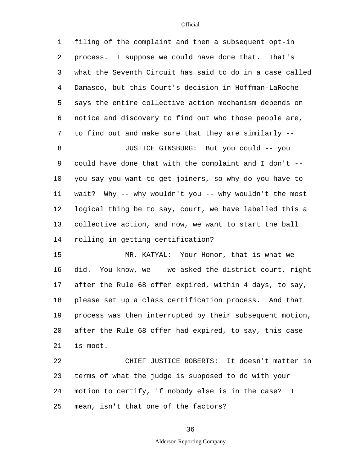5 10 15 20 25 1 filing of the complaint and then a subsequent opt-in 2 process. I suppose we could have done that. That's 3 what the Seventh Circuit has said to do in a case called 4 Damasco, but this Court's decision in Hoffman-LaRoche says the entire collective action mechanism depends on 6 notice and discovery to find out who those people are, 7 to find out and make sure that they are similarly -- 8 JUSTICE GINSBURG: But you could -- you 9 could have done that with the complaint and I don't - you say you want to get joiners, so why do you have to 11 wait? Why -- why wouldn't you -- why wouldn't the most 12 logical thing be to say, court, we have labelled this a 13 collective action, and now, we want to start the ball 14 rolling in getting certification? MR. KATYAL: Your Honor, that is what we 16 did. You know, we -- we asked the district court, right 17 after the Rule 68 offer expired, within 4 days, to say, 18 please set up a class certification process. And that 19 process was then interrupted by their subsequent motion, after the Rule 68 offer had expired, to say, this case 21 is moot. 22 CHIEF JUSTICE ROBERTS: It doesn't matter in 23 terms of what the judge is supposed to do with your 24 motion to certify, if nobody else is in the case? I mean, isn't that one of the factors?

36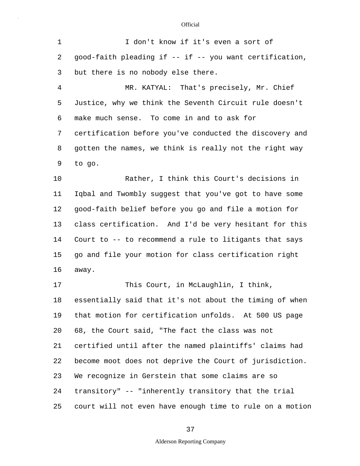| 1              | I don't know if it's even a sort of                      |
|----------------|----------------------------------------------------------|
| 2              | good-faith pleading if -- if -- you want certification,  |
| 3              | but there is no nobody else there.                       |
| $\overline{4}$ | MR. KATYAL: That's precisely, Mr. Chief                  |
| 5              | Justice, why we think the Seventh Circuit rule doesn't   |
| 6              | make much sense. To come in and to ask for               |
| 7              | certification before you've conducted the discovery and  |
| 8              | gotten the names, we think is really not the right way   |
| 9              | to go.                                                   |
| $10 \,$        | Rather, I think this Court's decisions in                |
| 11             | Iqbal and Twombly suggest that you've got to have some   |
| 12             | good-faith belief before you go and file a motion for    |
| 13             | class certification. And I'd be very hesitant for this   |
| 14             | Court to -- to recommend a rule to litigants that says   |
| 15             | go and file your motion for class certification right    |
| 16             | away.                                                    |
| 17             | This Court, in McLaughlin, I think,                      |
| 18             | essentially said that it's not about the timing of when  |
| 19             | that motion for certification unfolds. At 500 US page    |
| 20             | 68, the Court said, "The fact the class was not          |
| 21             | certified until after the named plaintiffs' claims had   |
| 22             | become moot does not deprive the Court of jurisdiction.  |
| 23             | We recognize in Gerstein that some claims are so         |
| 24             | transitory" -- "inherently transitory that the trial     |
| 25             | court will not even have enough time to rule on a motion |

## 37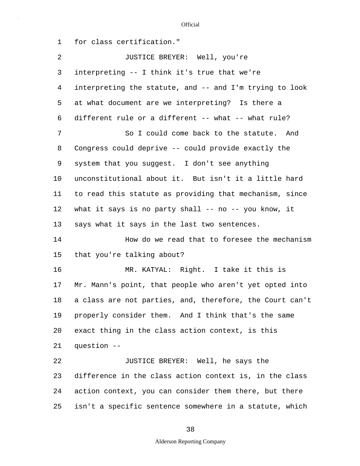5 10 15 20 25 1 for class certification." 2 JUSTICE BREYER: Well, you're 3 interpreting -- I think it's true that we're 4 interpreting the statute, and -- and I'm trying to look at what document are we interpreting? Is there a 6 different rule or a different -- what -- what rule? 7 So I could come back to the statute. And 8 Congress could deprive -- could provide exactly the 9 system that you suggest. I don't see anything unconstitutional about it. But isn't it a little hard 11 to read this statute as providing that mechanism, since 12 what it says is no party shall -- no -- you know, it 13 says what it says in the last two sentences. 14 How do we read that to foresee the mechanism that you're talking about? 16 MR. KATYAL: Right. I take it this is 17 Mr. Mann's point, that people who aren't yet opted into 18 a class are not parties, and, therefore, the Court can't 19 properly consider them. And I think that's the same exact thing in the class action context, is this 21 question -- 22 JUSTICE BREYER: Well, he says the 23 difference in the class action context is, in the class 24 action context, you can consider them there, but there isn't a specific sentence somewhere in a statute, which

38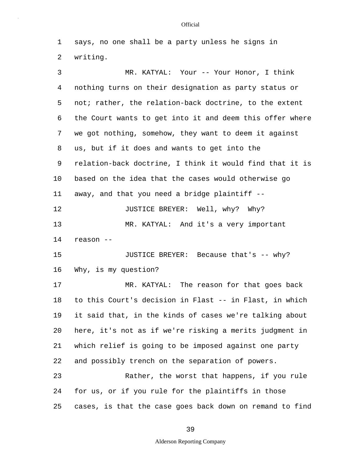1 says, no one shall be a party unless he signs in 2 writing.

5 10 15 20 25 3 MR. KATYAL: Your -- Your Honor, I think 4 nothing turns on their designation as party status or not; rather, the relation-back doctrine, to the extent 6 the Court wants to get into it and deem this offer where 7 we got nothing, somehow, they want to deem it against 8 us, but if it does and wants to get into the 9 relation-back doctrine, I think it would find that it is based on the idea that the cases would otherwise go 11 away, and that you need a bridge plaintiff -- 12 **JUSTICE BREYER:** Well, why? Why? 13 MR. KATYAL: And it's a very important 14 reason -- JUSTICE BREYER: Because that's -- why? 16 Why, is my question? 17 MR. KATYAL: The reason for that goes back 18 to this Court's decision in Flast -- in Flast, in which 19 it said that, in the kinds of cases we're talking about here, it's not as if we're risking a merits judgment in 21 which relief is going to be imposed against one party 22 and possibly trench on the separation of powers. 23 Rather, the worst that happens, if you rule 24 for us, or if you rule for the plaintiffs in those cases, is that the case goes back down on remand to find

39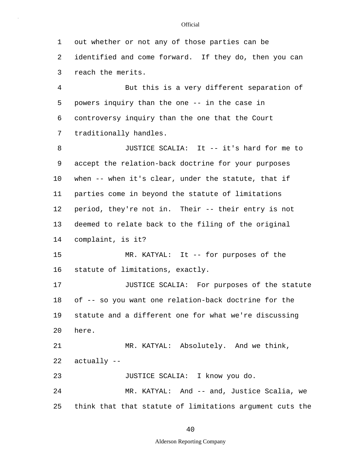5 10 15 1 out whether or not any of those parties can be 2 identified and come forward. If they do, then you can 3 reach the merits. 4 But this is a very different separation of powers inquiry than the one -- in the case in 6 controversy inquiry than the one that the Court 7 traditionally handles. 8 JUSTICE SCALIA: It -- it's hard for me to 9 accept the relation-back doctrine for your purposes when -- when it's clear, under the statute, that if 11 parties come in beyond the statute of limitations 12 period, they're not in. Their -- their entry is not 13 deemed to relate back to the filing of the original 14 complaint, is it? MR. KATYAL: It -- for purposes of the 16 statute of limitations, exactly. 17 JUSTICE SCALIA: For purposes of the statute 18 of -- so you want one relation-back doctrine for the 19 statute and a different one for what we're discussing

21 MR. KATYAL: Absolutely. And we think, 22 actually -- 23 JUSTICE SCALIA: I know you do. 24 MR. KATYAL: And -- and, Justice Scalia, we

20

here.

25 think that that statute of limitations argument cuts the

40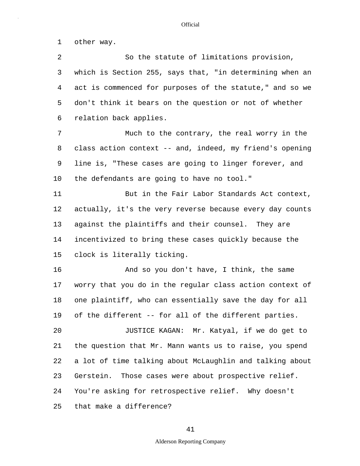1 other way.

5 10 15 20 25 2 So the statute of limitations provision, 3 which is Section 255, says that, "in determining when an 4 act is commenced for purposes of the statute," and so we don't think it bears on the question or not of whether 6 relation back applies. 7 Much to the contrary, the real worry in the 8 class action context -- and, indeed, my friend's opening 9 line is, "These cases are going to linger forever, and the defendants are going to have no tool." 11 But in the Fair Labor Standards Act context, 12 actually, it's the very reverse because every day counts 13 against the plaintiffs and their counsel. They are 14 incentivized to bring these cases quickly because the clock is literally ticking. 16 And so you don't have, I think, the same 17 worry that you do in the regular class action context of 18 one plaintiff, who can essentially save the day for all 19 of the different -- for all of the different parties. JUSTICE KAGAN: Mr. Katyal, if we do get to 21 the question that Mr. Mann wants us to raise, you spend 22 a lot of time talking about McLaughlin and talking about 23 Gerstein. Those cases were about prospective relief. 24 You're asking for retrospective relief. Why doesn't that make a difference?

### 41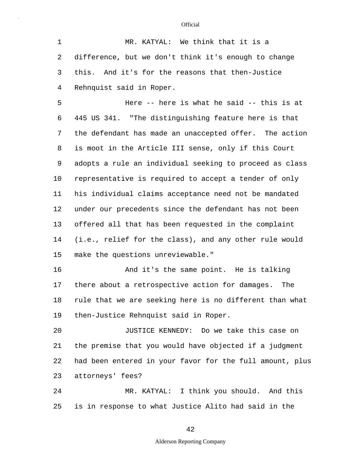1 MR. KATYAL: We think that it is a 2 difference, but we don't think it's enough to change 3 this. And it's for the reasons that then-Justice 4 Rehnquist said in Roper.

5 10 15 Here -- here is what he said -- this is at 6 445 US 341. "The distinguishing feature here is that 7 the defendant has made an unaccepted offer. The action 8 is moot in the Article III sense, only if this Court 9 adopts a rule an individual seeking to proceed as class representative is required to accept a tender of only 11 his individual claims acceptance need not be mandated 12 under our precedents since the defendant has not been 13 offered all that has been requested in the complaint 14 (i.e., relief for the class), and any other rule would make the questions unreviewable."

16 And it's the same point. He is talking 17 there about a retrospective action for damages. The 18 rule that we are seeking here is no different than what 19 then-Justice Rehnquist said in Roper.

20 JUSTICE KENNEDY: Do we take this case on 21 the premise that you would have objected if a judgment 22 had been entered in your favor for the full amount, plus 23 attorneys' fees?

25 24 MR. KATYAL: I think you should. And this is in response to what Justice Alito had said in the

42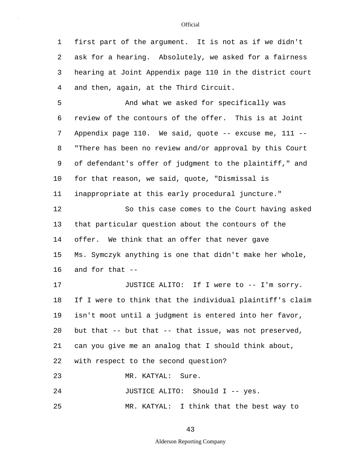1 first part of the argument. It is not as if we didn't 2 ask for a hearing. Absolutely, we asked for a fairness 3 hearing at Joint Appendix page 110 in the district court 4 and then, again, at the Third Circuit.

5 10 And what we asked for specifically was 6 review of the contours of the offer. This is at Joint 7 Appendix page 110. We said, quote -- excuse me, 111 -- 8 "There has been no review and/or approval by this Court 9 of defendant's offer of judgment to the plaintiff," and for that reason, we said, quote, "Dismissal is 11 inappropriate at this early procedural juncture." 12 So this case comes to the Court having asked

15 13 that particular question about the contours of the 14 offer. We think that an offer that never gave Ms. Symczyk anything is one that didn't make her whole, 16 and for that --

20 17 JUSTICE ALITO: If I were to -- I'm sorry. 18 If I were to think that the individual plaintiff's claim 19 isn't moot until a judgment is entered into her favor, but that -- but that -- that issue, was not preserved, 21 can you give me an analog that I should think about, 22 with respect to the second question? 23 MR. KATYAL: Sure.

24 JUSTICE ALITO: Should I -- yes.

25 MR. KATYAL: I think that the best way to

43

#### **Official**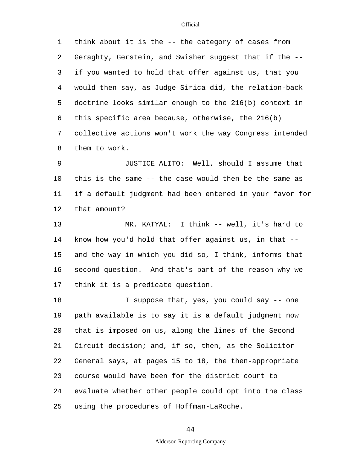5 1 think about it is the -- the category of cases from 2 Geraghty, Gerstein, and Swisher suggest that if the -- 3 if you wanted to hold that offer against us, that you 4 would then say, as Judge Sirica did, the relation-back doctrine looks similar enough to the 216(b) context in 6 this specific area because, otherwise, the 216(b) 7 collective actions won't work the way Congress intended 8 them to work.

10 9 JUSTICE ALITO: Well, should I assume that this is the same -- the case would then be the same as 11 if a default judgment had been entered in your favor for 12 that amount?

15 13 MR. KATYAL: I think -- well, it's hard to 14 know how you'd hold that offer against us, in that - and the way in which you did so, I think, informs that 16 second question. And that's part of the reason why we 17 think it is a predicate question.

20 25 18 18 I suppose that, yes, you could say -- one 19 path available is to say it is a default judgment now that is imposed on us, along the lines of the Second 21 Circuit decision; and, if so, then, as the Solicitor 22 General says, at pages 15 to 18, the then-appropriate 23 course would have been for the district court to 24 evaluate whether other people could opt into the class using the procedures of Hoffman-LaRoche.

### 44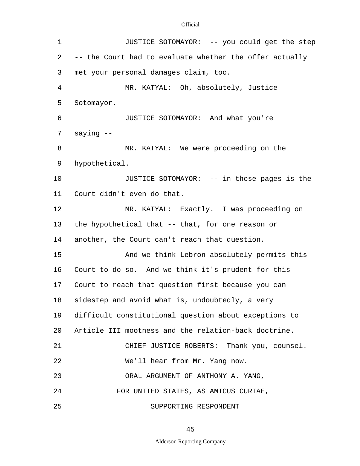| $\mathbf 1$ | JUSTICE SOTOMAYOR: -- you could get the step            |  |  |  |  |  |  |  |
|-------------|---------------------------------------------------------|--|--|--|--|--|--|--|
| 2           | -- the Court had to evaluate whether the offer actually |  |  |  |  |  |  |  |
| 3           | met your personal damages claim, too.                   |  |  |  |  |  |  |  |
| 4           | MR. KATYAL: Oh, absolutely, Justice                     |  |  |  |  |  |  |  |
| 5           | Sotomayor.                                              |  |  |  |  |  |  |  |
| 6           | JUSTICE SOTOMAYOR: And what you're                      |  |  |  |  |  |  |  |
| 7           | saying --                                               |  |  |  |  |  |  |  |
| 8           | MR. KATYAL: We were proceeding on the                   |  |  |  |  |  |  |  |
| 9           | hypothetical.                                           |  |  |  |  |  |  |  |
| 10          | JUSTICE SOTOMAYOR: -- in those pages is the             |  |  |  |  |  |  |  |
| 11          | Court didn't even do that.                              |  |  |  |  |  |  |  |
| 12          | MR. KATYAL: Exactly. I was proceeding on                |  |  |  |  |  |  |  |
| 13          | the hypothetical that -- that, for one reason or        |  |  |  |  |  |  |  |
| 14          | another, the Court can't reach that question.           |  |  |  |  |  |  |  |
| 15          | And we think Lebron absolutely permits this             |  |  |  |  |  |  |  |
| 16          | Court to do so. And we think it's prudent for this      |  |  |  |  |  |  |  |
| 17          | Court to reach that question first because you can      |  |  |  |  |  |  |  |
| 18          | sidestep and avoid what is, undoubtedly, a very         |  |  |  |  |  |  |  |
| 19          | difficult constitutional question about exceptions to   |  |  |  |  |  |  |  |
| 20          | Article III mootness and the relation-back doctrine.    |  |  |  |  |  |  |  |
| 21          | CHIEF JUSTICE ROBERTS: Thank you, counsel.              |  |  |  |  |  |  |  |
| 22          | We'll hear from Mr. Yang now.                           |  |  |  |  |  |  |  |
| 23          | ORAL ARGUMENT OF ANTHONY A. YANG,                       |  |  |  |  |  |  |  |
| 24          | FOR UNITED STATES, AS AMICUS CURIAE,                    |  |  |  |  |  |  |  |
| 25          | SUPPORTING RESPONDENT                                   |  |  |  |  |  |  |  |

45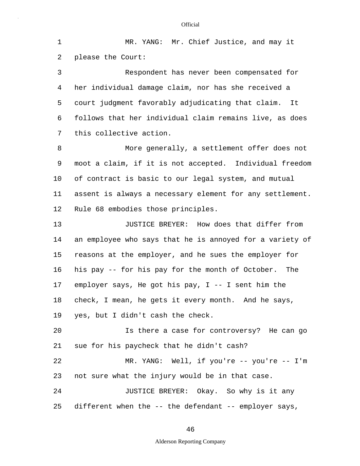5 10 15 20 1 MR. YANG: Mr. Chief Justice, and may it 2 please the Court: 3 Respondent has never been compensated for 4 her individual damage claim, nor has she received a court judgment favorably adjudicating that claim. It 6 follows that her individual claim remains live, as does 7 this collective action. 8 More generally, a settlement offer does not 9 moot a claim, if it is not accepted. Individual freedom of contract is basic to our legal system, and mutual 11 assent is always a necessary element for any settlement. 12 Rule 68 embodies those principles. 13 **JUSTICE BREYER:** How does that differ from 14 an employee who says that he is annoyed for a variety of reasons at the employer, and he sues the employer for 16 his pay -- for his pay for the month of October. The 17 employer says, He got his pay, I -- I sent him the 18 check, I mean, he gets it every month. And he says, 19 yes, but I didn't cash the check. Is there a case for controversy? He can go 21 sue for his paycheck that he didn't cash? 22 MR. YANG: Well, if you're -- you're -- I'm 23 not sure what the injury would be in that case. 24 JUSTICE BREYER: Okay. So why is it any

46

different when the -- the defendant -- employer says,

25

### Alderson Reporting Company

#### **Official**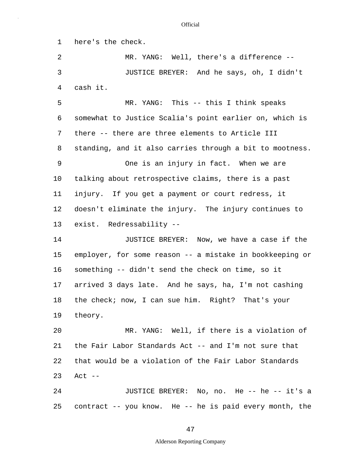1 here's the check.

2 MR. YANG: Well, there's a difference -- 3 JUSTICE BREYER: And he says, oh, I didn't 4 cash it.

5 10 MR. YANG: This -- this I think speaks 6 somewhat to Justice Scalia's point earlier on, which is 7 there -- there are three elements to Article III 8 standing, and it also carries through a bit to mootness. 9 One is an injury in fact. When we are talking about retrospective claims, there is a past 11 injury. If you get a payment or court redress, it 12 doesn't eliminate the injury. The injury continues to 13 exist. Redressability -- 14 JUSTICE BREYER: Now, we have a case if the

15 employer, for some reason -- a mistake in bookkeeping or 16 something -- didn't send the check on time, so it 17 arrived 3 days late. And he says, ha, I'm not cashing 18 the check; now, I can sue him. Right? That's your 19 theory.

20 MR. YANG: Well, if there is a violation of 21 the Fair Labor Standards Act -- and I'm not sure that 22 that would be a violation of the Fair Labor Standards 23 Act --

25 24 JUSTICE BREYER: No, no. He -- he -- it's a contract -- you know. He -- he is paid every month, the

#### **Official**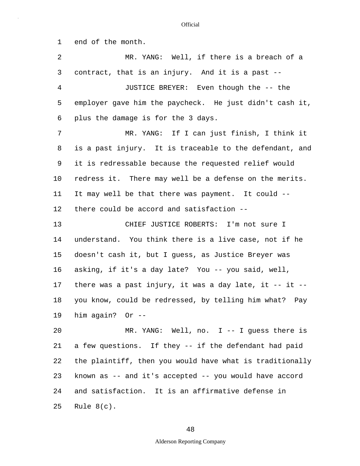5 10 15 20 25 1 end of the month. 2 MR. YANG: Well, if there is a breach of a 3 contract, that is an injury. And it is a past -- 4 JUSTICE BREYER: Even though the -- the employer gave him the paycheck. He just didn't cash it, 6 plus the damage is for the 3 days. 7 MR. YANG: If I can just finish, I think it 8 is a past injury. It is traceable to the defendant, and 9 it is redressable because the requested relief would redress it. There may well be a defense on the merits. 11 It may well be that there was payment. It could -- 12 there could be accord and satisfaction -- 13 CHIEF JUSTICE ROBERTS: I'm not sure I 14 understand. You think there is a live case, not if he doesn't cash it, but I guess, as Justice Breyer was 16 asking, if it's a day late? You -- you said, well, 17 there was a past injury, it was a day late, it -- it -- 18 you know, could be redressed, by telling him what? Pay 19 him again? Or -- MR. YANG: Well, no. I -- I guess there is 21 a few questions. If they -- if the defendant had paid 22 the plaintiff, then you would have what is traditionally 23 known as -- and it's accepted -- you would have accord 24 and satisfaction. It is an affirmative defense in Rule 8(c).

## 48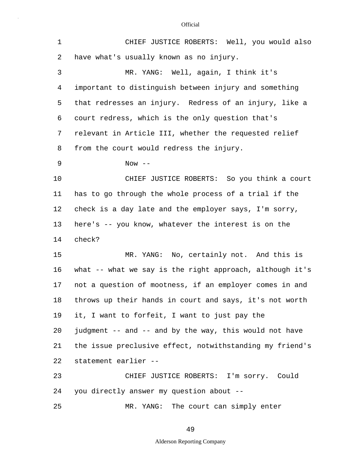| $\mathbf 1$ | CHIEF JUSTICE ROBERTS: Well, you would also              |
|-------------|----------------------------------------------------------|
| 2           | have what's usually known as no injury.                  |
| 3           | MR. YANG: Well, again, I think it's                      |
| 4           | important to distinguish between injury and something    |
| 5           | that redresses an injury. Redress of an injury, like a   |
| 6           | court redress, which is the only question that's         |
| 7           | relevant in Article III, whether the requested relief    |
| 8           | from the court would redress the injury.                 |
| 9           | Now $--$                                                 |
| 10          | CHIEF JUSTICE ROBERTS: So you think a court              |
| 11          | has to go through the whole process of a trial if the    |
| 12          | check is a day late and the employer says, I'm sorry,    |
| 13          | here's -- you know, whatever the interest is on the      |
| 14          | check?                                                   |
| 15          | MR. YANG: No, certainly not. And this is                 |
| 16          | what -- what we say is the right approach, although it's |
| 17          | not a question of mootness, if an employer comes in and  |
| 18          | throws up their hands in court and says, it's not worth  |
| 19          | it, I want to forfeit, I want to just pay the            |
| 20          | judgment -- and -- and by the way, this would not have   |
| 21          | the issue preclusive effect, notwithstanding my friend's |
| 22          | statement earlier --                                     |
| 23          | CHIEF JUSTICE ROBERTS: I'm sorry. Could                  |
| 24          | you directly answer my question about --                 |
| 25          | MR. YANG: The court can simply enter                     |

49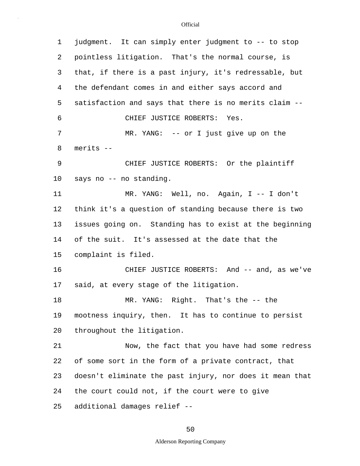| 1               | judgment. It can simply enter judgment to -- to stop     |  |  |  |  |  |  |
|-----------------|----------------------------------------------------------|--|--|--|--|--|--|
| 2               | pointless litigation. That's the normal course, is       |  |  |  |  |  |  |
| 3               | that, if there is a past injury, it's redressable, but   |  |  |  |  |  |  |
| 4               | the defendant comes in and either says accord and        |  |  |  |  |  |  |
| 5               | satisfaction and says that there is no merits claim --   |  |  |  |  |  |  |
| 6               | CHIEF JUSTICE ROBERTS: Yes.                              |  |  |  |  |  |  |
| 7               | $MR. YANG: -- or I just give up on the$                  |  |  |  |  |  |  |
| 8               | merits --                                                |  |  |  |  |  |  |
| 9               | CHIEF JUSTICE ROBERTS: Or the plaintiff                  |  |  |  |  |  |  |
| 10 <sub>o</sub> | says no -- no standing.                                  |  |  |  |  |  |  |
| 11              | MR. YANG: Well, no. Again, I -- I don't                  |  |  |  |  |  |  |
| 12              | think it's a question of standing because there is two   |  |  |  |  |  |  |
| 13              | issues going on. Standing has to exist at the beginning  |  |  |  |  |  |  |
| 14              | of the suit. It's assessed at the date that the          |  |  |  |  |  |  |
| 15              | complaint is filed.                                      |  |  |  |  |  |  |
| 16              | CHIEF JUSTICE ROBERTS: And -- and, as we've              |  |  |  |  |  |  |
| 17              | said, at every stage of the litigation.                  |  |  |  |  |  |  |
| 18              | MR. YANG: Right. That's the -- the                       |  |  |  |  |  |  |
| 19              | mootness inquiry, then. It has to continue to persist    |  |  |  |  |  |  |
| 20              | throughout the litigation.                               |  |  |  |  |  |  |
| 21              | Now, the fact that you have had some redress             |  |  |  |  |  |  |
| 22              | of some sort in the form of a private contract, that     |  |  |  |  |  |  |
| 23              | doesn't eliminate the past injury, nor does it mean that |  |  |  |  |  |  |
| 24              | the court could not, if the court were to give           |  |  |  |  |  |  |
| 25              | additional damages relief --                             |  |  |  |  |  |  |

# 50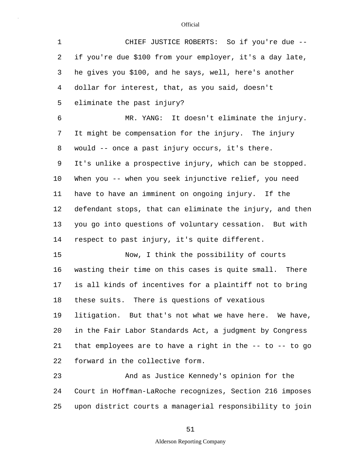| $\mathbf 1$ | CHIEF JUSTICE ROBERTS: So if you're due --               |
|-------------|----------------------------------------------------------|
| 2           | if you're due \$100 from your employer, it's a day late, |
| 3           | he gives you \$100, and he says, well, here's another    |
| 4           | dollar for interest, that, as you said, doesn't          |
| 5           | eliminate the past injury?                               |
| 6           | MR. YANG: It doesn't eliminate the injury.               |
| 7           | It might be compensation for the injury. The injury      |
| 8           | would -- once a past injury occurs, it's there.          |
| 9           | It's unlike a prospective injury, which can be stopped.  |
| 10          | When you -- when you seek injunctive relief, you need    |
| 11          | have to have an imminent on ongoing injury. If the       |
| 12          | defendant stops, that can eliminate the injury, and then |
| 13          | you go into questions of voluntary cessation. But with   |
| 14          | respect to past injury, it's quite different.            |
| 15          | Now, I think the possibility of courts                   |
| 16          | wasting their time on this cases is quite small. There   |
| 17          | is all kinds of incentives for a plaintiff not to bring  |
| 18          | these suits. There is questions of vexatious             |
| 19          | litigation. But that's not what we have here. We have,   |
| 20          | in the Fair Labor Standards Act, a judgment by Congress  |
| 21          | that employees are to have a right in the -- to -- to go |
| 22          | forward in the collective form.                          |
| 23          | And as Justice Kennedy's opinion for the                 |
| 24          | Court in Hoffman-LaRoche recognizes, Section 216 imposes |

25 upon district courts a managerial responsibility to join

51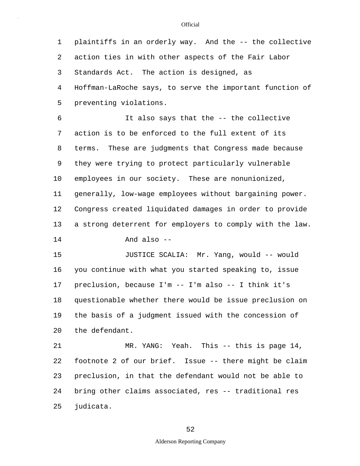5 1 plaintiffs in an orderly way. And the -- the collective 2 action ties in with other aspects of the Fair Labor 3 Standards Act. The action is designed, as 4 Hoffman-LaRoche says, to serve the important function of preventing violations.

10 6 It also says that the -- the collective 7 action is to be enforced to the full extent of its 8 terms. These are judgments that Congress made because 9 they were trying to protect particularly vulnerable employees in our society. These are nonunionized, 11 generally, low-wage employees without bargaining power. 12 Congress created liquidated damages in order to provide 13 a strong deterrent for employers to comply with the law.

14 And also --

15 20 JUSTICE SCALIA: Mr. Yang, would -- would 16 you continue with what you started speaking to, issue 17 preclusion, because I'm -- I'm also -- I think it's 18 questionable whether there would be issue preclusion on 19 the basis of a judgment issued with the concession of the defendant.

25 21 MR. YANG: Yeah. This -- this is page 14, 22 footnote 2 of our brief. Issue -- there might be claim 23 preclusion, in that the defendant would not be able to 24 bring other claims associated, res -- traditional res judicata.

#### **Official**

52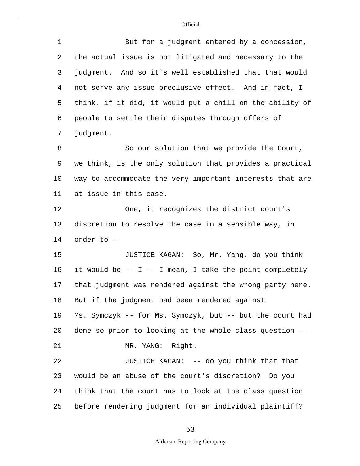| $\mathbf 1$ | But for a judgment entered by a concession,               |  |  |  |  |  |  |
|-------------|-----------------------------------------------------------|--|--|--|--|--|--|
| 2           | the actual issue is not litigated and necessary to the    |  |  |  |  |  |  |
| 3           | judgment. And so it's well established that that would    |  |  |  |  |  |  |
| 4           | not serve any issue preclusive effect. And in fact, I     |  |  |  |  |  |  |
| 5           | think, if it did, it would put a chill on the ability of  |  |  |  |  |  |  |
| 6           | people to settle their disputes through offers of         |  |  |  |  |  |  |
| 7           | judgment.                                                 |  |  |  |  |  |  |
| 8           | So our solution that we provide the Court,                |  |  |  |  |  |  |
| 9           | we think, is the only solution that provides a practical  |  |  |  |  |  |  |
| 10          | way to accommodate the very important interests that are  |  |  |  |  |  |  |
| 11          | at issue in this case.                                    |  |  |  |  |  |  |
| 12          | One, it recognizes the district court's                   |  |  |  |  |  |  |
| 13          | discretion to resolve the case in a sensible way, in      |  |  |  |  |  |  |
| 14          | order to --                                               |  |  |  |  |  |  |
| 15          | JUSTICE KAGAN: So, Mr. Yang, do you think                 |  |  |  |  |  |  |
| 16          | it would be $-$ I $-$ I mean, I take the point completely |  |  |  |  |  |  |
| 17          | that judgment was rendered against the wrong party here.  |  |  |  |  |  |  |
| 18          | But if the judgment had been rendered against             |  |  |  |  |  |  |
| 19          | Ms. Symczyk -- for Ms. Symczyk, but -- but the court had  |  |  |  |  |  |  |
| 20          | done so prior to looking at the whole class question --   |  |  |  |  |  |  |
| 21          | MR. YANG: Right.                                          |  |  |  |  |  |  |
| 22          | JUSTICE KAGAN: -- do you think that that                  |  |  |  |  |  |  |
| 23          | would be an abuse of the court's discretion? Do you       |  |  |  |  |  |  |
| 24          | think that the court has to look at the class question    |  |  |  |  |  |  |
| 25          | before rendering judgment for an individual plaintiff?    |  |  |  |  |  |  |

# 53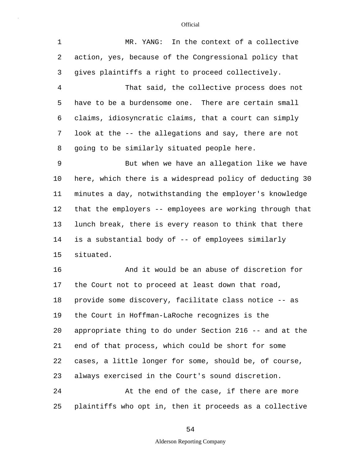| 1              | MR. YANG: In the context of a collective                 |
|----------------|----------------------------------------------------------|
| 2              | action, yes, because of the Congressional policy that    |
| 3              | gives plaintiffs a right to proceed collectively.        |
| $\overline{4}$ | That said, the collective process does not               |
| 5              | have to be a burdensome one. There are certain small     |
| 6              | claims, idiosyncratic claims, that a court can simply    |
| 7              | look at the -- the allegations and say, there are not    |
| 8              | going to be similarly situated people here.              |
| 9              | But when we have an allegation like we have              |
| 10             | here, which there is a widespread policy of deducting 30 |
| 11             | minutes a day, notwithstanding the employer's knowledge  |
| 12             | that the employers -- employees are working through that |
| 13             | lunch break, there is every reason to think that there   |
| 14             | is a substantial body of -- of employees similarly       |
| 15             | situated.                                                |
| 16             | And it would be an abuse of discretion for               |
| 17             | the Court not to proceed at least down that road,        |
| 18             | provide some discovery, facilitate class notice -- as    |
| 19             | the Court in Hoffman-LaRoche recognizes is the           |
| 20             | appropriate thing to do under Section 216 -- and at the  |
| 21             | end of that process, which could be short for some       |
| 22             | cases, a little longer for some, should be, of course,   |
| 23             | always exercised in the Court's sound discretion.        |
| 24             | At the end of the case, if there are more                |
| 25             | plaintiffs who opt in, then it proceeds as a collective  |

54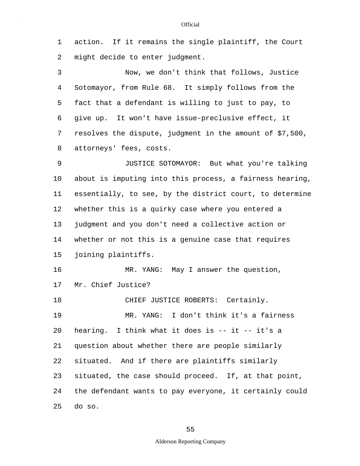1 action. If it remains the single plaintiff, the Court 2 might decide to enter judgment.

5 3 Now, we don't think that follows, Justice 4 Sotomayor, from Rule 68. It simply follows from the fact that a defendant is willing to just to pay, to 6 give up. It won't have issue-preclusive effect, it 7 resolves the dispute, judgment in the amount of \$7,500, 8 attorneys' fees, costs.

10 15 9 JUSTICE SOTOMAYOR: But what you're talking about is imputing into this process, a fairness hearing, 11 essentially, to see, by the district court, to determine 12 whether this is a quirky case where you entered a 13 judgment and you don't need a collective action or 14 whether or not this is a genuine case that requires joining plaintiffs.

16 MR. YANG: May I answer the question, 17 Mr. Chief Justice? 18 CHIEF JUSTICE ROBERTS: Certainly.

20 25 19 MR. YANG: I don't think it's a fairness hearing. I think what it does is -- it -- it's a 21 question about whether there are people similarly 22 situated. And if there are plaintiffs similarly 23 situated, the case should proceed. If, at that point, 24 the defendant wants to pay everyone, it certainly could do so.

55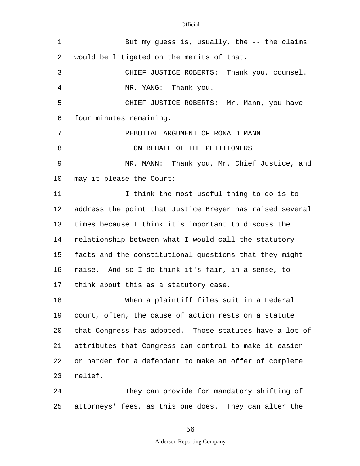| 1              | But my guess is, usually, the $-$ - the claims           |
|----------------|----------------------------------------------------------|
| $\overline{2}$ | would be litigated on the merits of that.                |
| 3              | CHIEF JUSTICE ROBERTS: Thank you, counsel.               |
| 4              | MR. YANG: Thank you.                                     |
| 5              | CHIEF JUSTICE ROBERTS: Mr. Mann, you have                |
| 6              | four minutes remaining.                                  |
| 7              | REBUTTAL ARGUMENT OF RONALD MANN                         |
| 8              | ON BEHALF OF THE PETITIONERS                             |
| 9              | MR. MANN: Thank you, Mr. Chief Justice, and              |
| 10             | may it please the Court:                                 |
| 11             | I think the most useful thing to do is to                |
| 12             | address the point that Justice Breyer has raised several |
| 13             | times because I think it's important to discuss the      |
| 14             | relationship between what I would call the statutory     |
| 15             | facts and the constitutional questions that they might   |
| 16             | raise. And so I do think it's fair, in a sense, to       |
| 17             | think about this as a statutory case.                    |
| 18             | When a plaintiff files suit in a Federal                 |
| 19             | court, often, the cause of action rests on a statute     |
| 20             | that Congress has adopted. Those statutes have a lot of  |
| 21             | attributes that Congress can control to make it easier   |
| 22             | or harder for a defendant to make an offer of complete   |
| 23             | relief.                                                  |
| 24             | They can provide for mandatory shifting of               |
| 25             | attorneys' fees, as this one does. They can alter the    |

56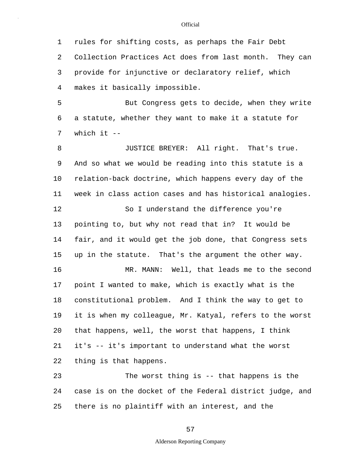1 rules for shifting costs, as perhaps the Fair Debt 2 Collection Practices Act does from last month. They can 3 provide for injunctive or declaratory relief, which 4 makes it basically impossible.

5 But Congress gets to decide, when they write 6 a statute, whether they want to make it a statute for 7 which it --

10 15 20 8 JUSTICE BREYER: All right. That's true. 9 And so what we would be reading into this statute is a relation-back doctrine, which happens every day of the 11 week in class action cases and has historical analogies. 12 So I understand the difference you're 13 pointing to, but why not read that in? It would be 14 fair, and it would get the job done, that Congress sets up in the statute. That's the argument the other way. 16 MR. MANN: Well, that leads me to the second 17 point I wanted to make, which is exactly what is the 18 constitutional problem. And I think the way to get to 19 it is when my colleague, Mr. Katyal, refers to the worst that happens, well, the worst that happens, I think 21 it's -- it's important to understand what the worst 22 thing is that happens.

25 23 The worst thing is -- that happens is the 24 case is on the docket of the Federal district judge, and there is no plaintiff with an interest, and the

57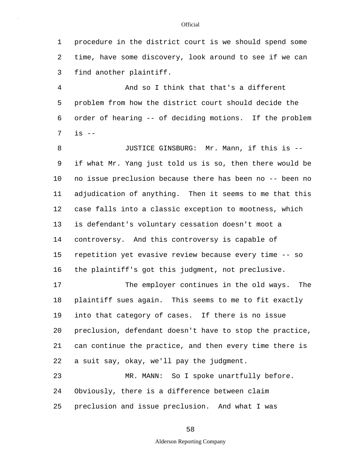1 procedure in the district court is we should spend some 2 time, have some discovery, look around to see if we can 3 find another plaintiff.

5 4 And so I think that that's a different problem from how the district court should decide the 6 order of hearing -- of deciding motions. If the problem 7 is --

10 15 8 JUSTICE GINSBURG: Mr. Mann, if this is --9 if what Mr. Yang just told us is so, then there would be no issue preclusion because there has been no -- been no 11 adjudication of anything. Then it seems to me that this 12 case falls into a classic exception to mootness, which 13 is defendant's voluntary cessation doesn't moot a 14 controversy. And this controversy is capable of repetition yet evasive review because every time -- so 16 the plaintiff's got this judgment, not preclusive.

20 17 The employer continues in the old ways. The 18 plaintiff sues again. This seems to me to fit exactly 19 into that category of cases. If there is no issue preclusion, defendant doesn't have to stop the practice, 21 can continue the practice, and then every time there is 22 a suit say, okay, we'll pay the judgment.

25 23 MR. MANN: So I spoke unartfully before. 24 Obviously, there is a difference between claim preclusion and issue preclusion. And what I was

58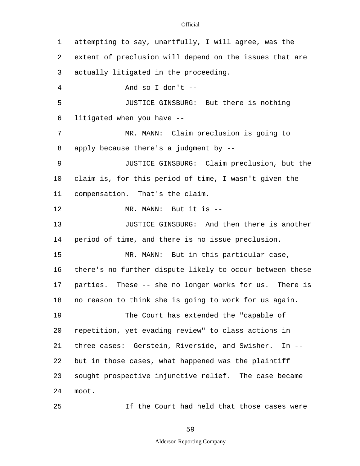5 10 15 20 1 attempting to say, unartfully, I will agree, was the 2 extent of preclusion will depend on the issues that are 3 actually litigated in the proceeding. 4 And so I don't -- JUSTICE GINSBURG: But there is nothing 6 litigated when you have -- 7 MR. MANN: Claim preclusion is going to 8 apply because there's a judgment by -- 9 JUSTICE GINSBURG: Claim preclusion, but the claim is, for this period of time, I wasn't given the 11 compensation. That's the claim. 12 MR. MANN: But it is -- 13 **JUSTICE GINSBURG:** And then there is another 14 period of time, and there is no issue preclusion. MR. MANN: But in this particular case, 16 there's no further dispute likely to occur between these 17 parties. These -- she no longer works for us. There is 18 no reason to think she is going to work for us again. 19 The Court has extended the "capable of repetition, yet evading review" to class actions in 21 three cases: Gerstein, Riverside, and Swisher. In -- 22 but in those cases, what happened was the plaintiff 23 sought prospective injunctive relief. The case became 24 moot.

**Official** 

If the Court had held that those cases were

## 59

25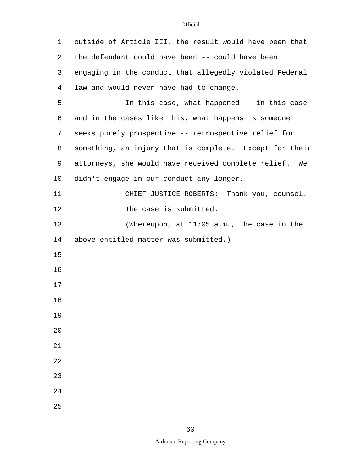| 1  | outside of Article III, the result would have been that |
|----|---------------------------------------------------------|
| 2  | the defendant could have been -- could have been        |
| 3  | engaging in the conduct that allegedly violated Federal |
| 4  | law and would never have had to change.                 |
| 5  | In this case, what happened -- in this case             |
| 6  | and in the cases like this, what happens is someone     |
| 7  | seeks purely prospective -- retrospective relief for    |
| 8  | something, an injury that is complete. Except for their |
| 9  | attorneys, she would have received complete relief. We  |
| 10 | didn't engage in our conduct any longer.                |
| 11 | CHIEF JUSTICE ROBERTS: Thank you, counsel.              |
| 12 | The case is submitted.                                  |
| 13 | (Whereupon, at 11:05 a.m., the case in the              |
| 14 | above-entitled matter was submitted.)                   |
| 15 |                                                         |
| 16 |                                                         |
| 17 |                                                         |
| 18 |                                                         |
| 19 |                                                         |
| 20 |                                                         |
| 21 |                                                         |
| 22 |                                                         |
| 23 |                                                         |
| 24 |                                                         |
| 25 |                                                         |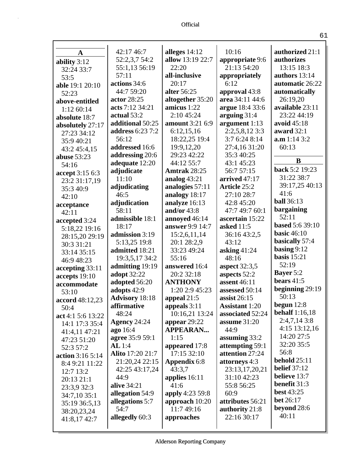| A                 | 42:17 46:7              | alleges $14:12$        | 10:16                 | authorized 21:1        |
|-------------------|-------------------------|------------------------|-----------------------|------------------------|
| ability 3:12      | 52:2,3,7 54:2           | allow 13:19 22:7       | appropriate 9:6       | authorizes             |
| 32:24 33:7        | 55:1,13 56:19           | 22:20                  | 21:13 54:20           | 13:15 18:3             |
| 53:5              | 57:11                   | all-inclusive          | appropriately         | authors 13:14          |
| able 19:1 20:10   | actions 34:6            | 20:17                  | 6:12                  | automatic 26:22        |
| 52:23             | 44:7 59:20              | alter 56:25            | approval 43:8         | automatically          |
| above-entitled    | actor 28:25             | altogether 35:20       | area 34:11 44:6       | 26:19,20               |
| 1:12 60:14        | acts 7:12 34:21         | amicus $1:22$          | argue 18:4 33:6       | available 23:11        |
| absolute 18:7     | actual $53:2$           | 2:10 45:24             | arguing $31:4$        | 23:22 44:19            |
| absolutely 27:17  | additional 50:25        | amount 3:21 6:9        | argument 1:13         | avoid 45:18            |
| 27:23 34:12       | <b>address</b> 6:23 7:2 | 6:12,15,16             | $2:2,5,8,12$ 3:3      | award 32:1             |
| 35:9 40:21        | 56:12                   | 18:22,25 19:4          | 3:7 6:24 8:14         | a.m 1:14 3:2           |
| 43:2 45:4,15      | addressed 16:6          | 19:9,12,20             | 27:4,16 31:20         | 60:13                  |
| abuse 53:23       | addressing 20:6         | 29:23 42:22            | 35:3 40:25            | B                      |
| 54:16             | adequate 12:20          | 44:12 55:7             | 43:1 45:23            |                        |
| accept 3:15 6:3   | adjudicate              | <b>Amtrak 28:25</b>    | 56:7 57:15            | back 5:2 19:23         |
| 23:2 31:17,19     | 11:10                   | analog $43:21$         | arrived 47:17         | 31:22 38:7             |
| 35:3 40:9         | adjudicating            | analogies 57:11        | Article 25:2          | 39:17,25 40:13         |
| 42:10             | 46:5                    | analogy 18:17          | 27:10 28:7            | 41:6                   |
| acceptance        | adjudication            | analyze 16:13          | 42:8 45:20            | <b>ball</b> 36:13      |
| 42:11             | 58:11                   | and/or $43:8$          | 47:7 49:7 60:1        | bargaining             |
| accepted 3:24     | admissible 18:1         | annoyed 46:14          | ascertain 15:22       | 52:11                  |
| 5:18,22 19:16     | 18:17                   | answer 9:9 14:7        | asked 11:5            | <b>based</b> 5:6 39:10 |
| 28:15,20 29:19    | admission 3:19          | 15:2,6,11,14           | 36:16 43:2,5          | <b>basic</b> 46:10     |
| 30:3 31:21        | 5:13,25 19:8            | 20:1 28:2,9            | 43:12                 | basically 57:4         |
| 33:14 35:15       | admitted 18:21          | 33:23 49:24            | asking $41:24$        | basing $9:12$          |
| 46:9 48:23        | 19:3,5,17 34:2          | 55:16                  | 48:16                 | basis $15:21$          |
| accepting 33:11   | admitting 19:19         | answered 16:4          | <b>aspect</b> 32:3,5  | 52:19                  |
| accepts 19:10     | adopt 32:22             | 20:2 32:18             | aspects 52:2          | <b>Bayer</b> 5:2       |
| accommodate       | adopted 56:20           | <b>ANTHONY</b>         | assent 46:11          | bears $41:5$           |
| 53:10             | adopts 42:9             | 1:20 2:9 45:23         | assessed 50:14        | beginning 29:19        |
| accord 48:12,23   | <b>Advisory</b> 18:18   | appeal 21:5            | assist $26:15$        | 50:13                  |
| 50:4              | affirmative             | appeals 3:11           | <b>Assistant 1:20</b> | begun $12:8$           |
| act 4:1 5:6 13:22 | 48:24                   | 10:16,21 13:24         | associated 52:24      | <b>behalf</b> 1:16,18  |
| 14:1 17:3 35:4    | <b>Agency 24:24</b>     | appear 29:22           | assume 31:20          | 2:4,7,143:8            |
| 41:4,11 47:21     | ago 16:4                | <b>APPEARAN</b>        | 44:9                  | 4:15 13:12,16          |
| 47:23 51:20       | agree 35:9 59:1         | 1:15                   | assuming $33:2$       | 14:20 27:5             |
| 52:3 57:2         | AL 1:4                  | appeared 17:8          | attempting 59:1       | 32:20 35:5             |
| action 3:16 5:14  | <b>Alito</b> 17:20 21:7 | 17:15 32:10            | attention 27:24       | 56:8                   |
| 8:4 9:21 11:22    | 21:20,24 22:15          | Appendix 6:8           | attorneys 4:3         | <b>behold</b> 25:11    |
| 12:7 13:2         | 42:25 43:17,24          | 43:3.7                 | 23:13,17,20,21        | <b>belief</b> 37:12    |
| 20:13 21:1        | 44:9                    | applies 16:11          | 31:10 42:23           | believe 13:7           |
| 23:3,9 32:3       | alive 34:21             | 41:6                   | 55:8 56:25            | benefit 31:3           |
| 34:7,10 35:1      | allegation 54:9         | <b>apply</b> 4:23 59:8 | 60:9                  | <b>best 43:25</b>      |
| 35:19 36:5,13     | allegations 5:7         | approach 10:20         | attributes 56:21      | <b>bet</b> 26:17       |
| 38:20,23,24       | 54:7                    | 11:7 49:16             | authority 21:8        | beyond 28:6            |
| 41:8,17 42:7      | allegedly 60:3          | approaches             | 22:16 30:17           | 40:11                  |
|                   |                         |                        |                       |                        |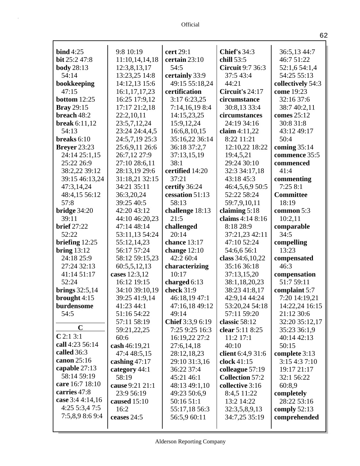| bind $4:25$          | 9:8 10:19       | cert 29:1        | Chief's $34:3$          | 36:5,13 44:7      |
|----------------------|-----------------|------------------|-------------------------|-------------------|
| bit 25:2 47:8        | 11:10,14,14,18  | certain 23:10    | chill 53:5              | 46:7 51:22        |
| <b>body</b> 28:13    | 12:3,8,13,17    | 54:5             | <b>Circuit 9:7 36:3</b> | 52:1,6 54:1,4     |
| 54:14                | 13:23,25 14:8   | certainly 33:9   | 37:5 43:4               | 54:25 55:13       |
| bookkeeping          | 14:12,13 15:6   | 49:15 55:18,24   | 44:21                   | collectively 54:3 |
| 47:15                | 16:1,17,17,23   | certification    | Circuit's 24:17         | come 19:23        |
| bottom $12:25$       | 16:25 17:9,12   | 3:17 6:23,25     | circumstance            | 32:16 37:6        |
| <b>Bray</b> 29:15    | 17:17 21:2,18   | 7:14,16,19 8:4   | 30:8,13 33:4            | 38:7 40:2,11      |
| breach 48:2          | 22:2,10,11      | 14:15,23,25      | circumstances           | comes 25:12       |
| <b>break</b> 6:11,12 | 23:5,7,12,24    | 15:9,12,24       | 24:19 34:16             | 30:8 31:8         |
| 54:13                | 23:24 24:4,4,5  | 16:6,8,10,15     | claim $4:11,22$         | 43:12 49:17       |
| breaks $6:10$        | 24:5,7,19 25:3  | 35:16,22 36:14   | 8:22 11:21              | 50:4              |
| <b>Breyer</b> 23:23  | 25:6,9,11 26:6  | 36:18 37:2,7     | 12:10,22 18:22          | coming $35:14$    |
| 24:14 25:1,15        | 26:7,12 27:9    | 37:13,15,19      | 19:4,5,21               | commence 35:5     |
| 25:22 26:9           | 27:10 28:6,11   | 38:1             | 29:24 30:10             | commenced         |
| 38:2,22 39:12        | 28:13,19 29:6   | certified 14:20  | 32:3 34:17,18           | 41:4              |
| 39:15 46:13,24       | 31:18,21 32:15  | 37:21            | 43:18 45:3              | commenting        |
| 47:3,14,24           | 34:21 35:11     | certify 36:24    | 46:4,5,6,9 50:5         | 7:258:1           |
| 48:4,15 56:12        | 36:3,20,24      | cessation 51:13  | 52:22 58:24             | <b>Committee</b>  |
| 57:8                 | 39:25 40:5      | 58:13            | 59:7,9,10,11            | 18:19             |
| bridge $34:20$       | 42:20 43:12     | challenge 18:13  | claiming $5:18$         | common 5:3        |
| 39:11                | 44:10 46:20,23  | 21:5             | claims 4:14 8:16        | 10:2,11           |
| <b>brief</b> 27:22   | 47:14 48:14     | challenged       | 8:18 28:9               | comparable        |
| 52:22                | 53:11,13 54:24  | 20:14            | 37:21,23 42:11          | 34:5              |
| briefing $12:25$     | 55:12,14,23     | chance 13:17     | 47:10 52:24             | compelling        |
| bring $13:12$        | 56:17 57:24     | change $12:10$   | 54:6,6 56:1             | 13:23             |
| 24:18 25:9           | 58:12 59:15,23  | 42:2 60:4        | class 34:6,10,22        | compensated       |
| 27:24 32:13          | 60:5,5,12,13    | characterizing   | 35:16 36:18             | 46:3              |
| 41:14 51:17          | cases 12:3,12   | 10:17            | 37:13,15,20             | compensation      |
| 52:24                | 16:12 19:15     | charged 6:13     | 38:1,18,20,23           | 51:7 59:11        |
| brings $32:5,14$     | 34:10 39:10,19  | check 31:9       | 38:23 41:8,17           | complaint 5:7     |
| brought $4:15$       | 39:25 41:9,14   | 46:18,19 47:1    | 42:9,14 44:24           | 7:20 14:19,21     |
| burdensome           | 41:23 44:1      | 47:16,18 49:12   | 53:20,24 54:18          | 14:22,24 16:15    |
| 54:5                 | 51:16 54:22     | 49:14            | 57:11 59:20             | 21:12 30:6        |
|                      | 57:11 58:19     | Chief 3:3,9 6:19 | classic 58:12           | 32:20 35:12,17    |
| $\mathbf C$          | 59:21,22,25     | 7:25 9:25 16:3   | clear $5:118:25$        | 35:23 36:1,9      |
| C2:13:1              | 60:6            | 16:19,22 27:2    | 11:2 17:1               | 40:14 42:13       |
| call 4:23 56:14      | cash 46:19,21   | 27:6,14,18       | 40:10                   | 50:15             |
| called 36:3          | 47:4 48:5,15    | 28:12,18,23      | client 6:4,9 31:6       | complete 3:13     |
| canon 25:16          | cashing $47:17$ | 29:10 31:3,16    | clock 41:15             | 3:154:37:10       |
| capable 27:13        | category 44:1   | 36:22 37:4       | colleague 57:19         | 19:17 21:17       |
| 58:14 59:19          | 58:19           | 45:21 46:1       | <b>Collection 57:2</b>  | 32:1 56:22        |
| care 16:7 18:10      | cause 9:21 21:1 | 48:13 49:1,10    | collective 3:16         | 60:8,9            |
| carries 47:8         | 23:9 56:19      | 49:23 50:6,9     | 8:4,5 11:22             | completely        |
| case 3:4 4:14,16     | caused $15:10$  | 50:16 51:1       | 13:2 14:22              | 28:22 53:16       |
| 4:255:3,47:5         | 16:2            | 55:17,18 56:3    | 32:3,5,8,9,13           | comply $52:13$    |
| 7:5,8,9 8:6 9:4      | ceases 24:5     | 56:5,9 60:11     | 34:7,25 35:19           | comprehended      |
|                      |                 |                  |                         |                   |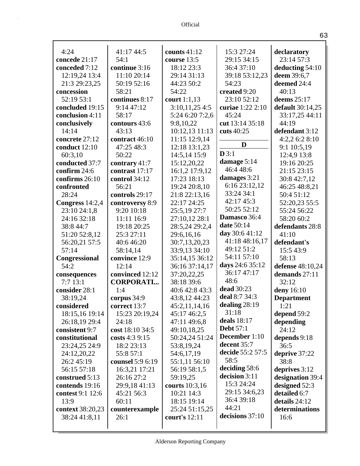| 4:24             | 41:17 44:5       | counts $41:12$  | 15:3 27:24           | declaratory             |
|------------------|------------------|-----------------|----------------------|-------------------------|
| concede 21:17    | 54:1             | course 13:5     | 29:15 34:15          | 23:14 57:3              |
| conceded 7:12    | continue 3:16    | 18:12 23:3      | 36:4 37:10           | deducting 54:10         |
| 12:19,24 13:4    | 11:10 20:14      | 29:14 31:13     | 39:18 53:12,23       | deem 39:6,7             |
| 21:3 29:23,25    | 50:19 52:16      | 44:23 50:2      | 54:23                | deemed 24:4             |
| concession       | 58:21            | 54:22           | created 9:20         | 40:13                   |
| 52:19 53:1       | continues 8:17   | court $1:1,13$  | 23:10 52:12          | deems $25:17$           |
| concluded 19:15  | 9:1447:12        | 3:10,11,254:5   | curiae 1:22 2:10     | <b>default</b> 30:14,25 |
| conclusion 4:11  | 58:17            | 5:24 6:20 7:2,6 | 45:24                | 33:17,25 44:11          |
| conclusively     | contours 43:6    | 9:8,10,22       | cut 13:14 35:18      | 44:19                   |
| 14:14            | 43:13            | 10:12,13 11:13  | cuts 40:25           | defendant 3:12          |
| concrete 27:12   | contract 46:10   | 11:15 12:9,14   |                      | 4:2,2 6:2 8:10          |
| conduct 12:10    | 47:25 48:3       | 12:18 13:1,23   | D                    | 9:1 10:5,19             |
| 60:3,10          | 50:22            | 14:5,14 15:9    | D3:1                 | 12:4,9 13:8             |
| conducted 37:7   | contrary 41:7    | 15:12,20,22     | damage 5:14          | 19:16 20:25             |
| confirm 24:6     | contrast 17:17   | 16:1,2 17:9,12  | 46:4 48:6            | 21:15 23:15             |
| confirms $26:10$ | control 34:12    | 17:23 18:13     | damages 3:21         | 30:8 42:7,12            |
| confronted       | 56:21            | 19:24 20:8,10   | 6:16 23:12,12        | 46:25 48:8,21           |
| 28:24            | controls 29:17   | 21:8 22:13,16   | 33:24 34:1           | 50:4 51:12              |
| Congress 14:2,4  | controversy 8:9  | 22:17 24:25     | 42:17 45:3           | 52:20,23 55:5           |
| 23:10 24:1,8     | 9:20 10:18       | 25:5,19 27:7    | 50:25 52:12          | 55:24 56:22             |
| 24:16 32:18      | 11:11 16:9       | 27:10,12 28:1   | Damasco 36:4         | 58:20 60:2              |
| 38:8 44:7        | 19:18 20:25      | 28:5,24 29:2,4  | date 50:14           | defendants 28:8         |
| 51:20 52:8,12    | 25:3 27:11       | 29:6,16,16      | day 30:6 41:12       | 41:10                   |
| 56:20,21 57:5    | 40:6 46:20       | 30:7,13,20,23   | 41:18 48:16,17       | defendant's             |
| 57:14            | 58:14,14         | 33:9,13 34:10   | 49:12 51:2           | 15:5 43:9               |
| Congressional    | convince 12:9    | 35:14,15 36:12  | 54:11 57:10          | 58:13                   |
| 54:2             | 12:14            | 36:16 37:14,17  | days 24:6 35:12      | defense 48:10,24        |
| consequences     | convinced 12:12  | 37:20,22,25     | 36:17 47:17          | demands 27:11           |
| 7:713:1          | <b>CORPORATI</b> | 38:18 39:6      | 48:6                 | 32:12                   |
| consider 28:1    | 1:4              | 40:6 42:8 43:3  | dead 30:23           | deny 16:10              |
| 38:19,24         | corpus 34:9      | 43:8,12 44:23   | deal 8:7 34:3        | <b>Department</b>       |
| considered       | correct 13:7     | 45:2,11,14,16   | dealing $28:19$      | 1:21                    |
| 18:15,16 19:14   | 15:23 20:19,24   | 45:17 46:2,5    | 31:18                | depend 59:2             |
| 26:18,19 29:4    | 24:18            | 47:11 49:6,8    | deals $18:17$        | depending               |
| consistent 9:7   | cost 18:10 34:5  | 49:10,18,25     | <b>Debt</b> 57:1     | 24:12                   |
| constitutional   | costs $4:39:15$  | 50:24,24 51:24  | <b>December</b> 1:10 | depends 9:18            |
| 23:24,25 24:9    | 18:2 23:13       | 53:8,19,24      | decent 35:7          | 36:5                    |
| 24:12,20,22      | 55:8 57:1        | 54:6,17,19      | decide 55:2 57:5     | deprive 37:22           |
| 26:2 45:19       | counsel 5:9 6:19 | 55:1,11 56:10   | 58:5                 | 38:8                    |
| 56:15 57:18      | 16:3,21 17:21    | 56:19 58:1,5    | deciding 58:6        | deprives $3:12$         |
| construed 5:13   | 26:16 27:2       | 59:19,25        | decision 3:11        | designation 39:4        |
| contends 19:16   | 29:9,18 41:13    | courts 10:3,16  | 15:3 24:24           | designed 52:3           |
| contest 9:1 12:6 | 45:21 56:3       | 10:21 14:3      | 29:15 34:6,23        | detailed 6:7            |
| 13:9             | 60:11            | 18:15 19:14     | 36:4 39:18<br>44:21  | details 24:12           |
| context 38:20,23 | counterexample   | 25:24 51:15,25  |                      | determinations          |
| 38:24 41:8,11    | 26:1             | court's 12:11   | decisions 37:10      | 16:6                    |
|                  |                  |                 |                      |                         |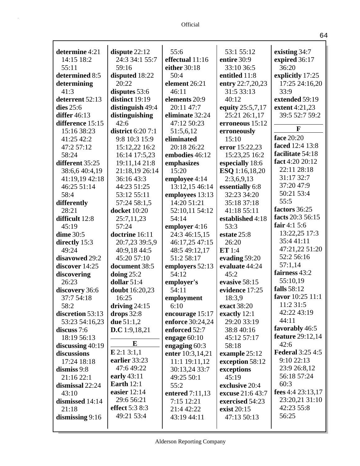| determine 4:21            |                                | 55:6                            | 53:1 55:12                 |                         |
|---------------------------|--------------------------------|---------------------------------|----------------------------|-------------------------|
| 14:15 18:2                | dispute $22:12$                |                                 |                            | existing 34:7           |
|                           | 24:3 34:1 55:7                 | effectual 11:16                 | entire 30:9                | expired 36:17<br>36:20  |
| 55:11                     | 59:16                          | either 30:18                    | 33:10 36:5                 |                         |
| determined 8:5            | disputed 18:22<br>20:22        | 50:4                            | entitled 11:8              | explicitly 17:25        |
| determining               |                                | element 26:21                   | entry 22:7,20,23           | 17:25 24:16,20          |
| 41:3                      | disputes 53:6                  | 46:11                           | 31:5 33:13                 | 33:9                    |
| deterrent 52:13           | distinct 19:19                 | elements 20:9                   | 40:12                      | extended 59:19          |
| dies $25:6$               | distinguish 49:4               | 20:11 47:7                      | equity 25:5,7,17           | extent 4:21,23          |
| <b>differ</b> 46:13       | distinguishing                 | eliminate 32:24                 | 25:21 26:1,17              | 39:5 52:7 59:2          |
| difference 15:15          | 42:6                           | 47:12 50:23                     | erroneous 15:12            | F                       |
| 15:16 38:23               | district $6:207:1$             | 51:5,6,12                       | erroneously                | face 20:20              |
| 41:25 42:2                | 9:8 10:3 15:9                  | eliminated                      | 15:10                      | faced 12:4 13:8         |
| 47:2 57:12                | 15:12,22 16:2                  | 20:18 26:22                     | error 15:22,23             | facilitate 54:18        |
| 58:24                     | 16:14 17:5,23                  | embodies 46:12                  | 15:23,25 16:2              | fact 4:20 20:12         |
| different 35:25           | 19:11,14 21:8                  | emphasizes<br>15:20             | especially 18:6            | 22:11 28:18             |
| 38:6,6 40:4,19            | 21:18,19 26:14                 |                                 | ESQ 1:16,18,20             | 31:17 32:7              |
| 41:19,19 42:18            | 36:16 43:3                     | employee 4:14                   | 2:3,6,9,13                 | 37:20 47:9              |
| 46:25 51:14               | 44:23 51:25                    | 13:12,15 46:14                  | essentially 6:8            | 50:21 53:4              |
| 58:4                      | 53:12 55:11                    | employees 13:13                 | 32:23 34:20                | 55:5                    |
| differently               | 57:24 58:1,5                   | 14:20 51:21                     | 35:18 37:18<br>41:18 55:11 | factors 36:25           |
| 28:21                     | <b>docket</b> 10:20            | 52:10,11 54:12<br>54:14         |                            | facts 20:3 56:15        |
| difficult 12:8            | 25:7,11,23<br>57:24            |                                 | established 4:18           | fair $4:15:6$           |
| 45:19<br><b>dime</b> 30:5 | doctrine 16:11                 | employer 4:16                   | 53:3<br>estate 25:8        | 13:22,25 17:3           |
|                           |                                | 24:3 46:15,15<br>46:17,25 47:15 | 26:20                      | 35:441:11               |
| directly 15:3<br>49:24    | 20:7,23 39:5,9<br>40:9,18 44:5 | 48:5 49:12,17                   | ET 1:4                     | 47:21,22 51:20          |
| disavowed 29:2            | 45:20 57:10                    | 51:2 58:17                      | evading 59:20              | 52:2 56:16              |
| discover 14:25            | document 38:5                  | employers 52:13                 | evaluate 44:24             | 57:1,14                 |
| discovering               | doing $25:2$                   | 54:12                           | 45:2                       | fairness 43:2           |
| 26:23                     | dollar $51:4$                  | employer's                      | evasive 58:15              | 55:10,19                |
| discovery 36:6            | doubt 16:20,23                 | 54:11                           | evidence 17:25             | falls 58:12             |
| 37:7 54:18                | 16:25                          | employment                      | 18:3,9                     | favor 10:25 11:1        |
| 58:2                      | driving $24:15$                | 6:10                            | exact 38:20                | 11:2 31:5               |
| discretion 53:13          | drops $32:8$                   | encourage 15:17                 | exactly 12:1               | 42:22 43:19             |
| 53:23 54:16,23            | due $51:1,2$                   | <b>enforce</b> 30:24,24         | 29:20 33:19                | 44:11                   |
| discuss 7:6               | D.C 1:9,18,21                  | enforced 52:7                   | 38:8 40:16                 | favorably 46:5          |
| 18:19 56:13               |                                | engage $60:10$                  | 45:12 57:17                | <b>feature</b> 29:12,14 |
| discussing $40:19$        | $\bf{E}$                       | engaging 60:3                   | 58:18                      | 42:6                    |
| discussions               | E 2:1 3:1,1                    | enter 10:3,14,21                | example 25:12              | <b>Federal 3:25 4:5</b> |
| 17:24 18:18               | earlier 33:23                  | 11:1 19:11,12                   | exception 58:12            | 9:1022:13               |
| dismiss $9:8$             | 47:6 49:22                     | 30:13,24 33:7                   | exceptions                 | 23:9 26:8,12            |
| 21:16 22:1                | early 43:11                    | 49:25 50:1                      | 45:19                      | 56:18 57:24             |
| dismissal 22:24           | <b>Earth</b> 12:1              | 55:2                            | exclusive 20:4             | 60:3                    |
| 43:10                     | easier $12:14$                 | entered 7:11,13                 | excuse 21:6 43:7           | fees 4:4 23:13,17       |
| dismissed 14:14           | 29:6 56:21                     | 7:15 12:21                      | exercised 54:23            | 23:20,21 31:10          |
| 21:18                     | effect $5:38:3$                | 21:4 42:22                      | exist 20:15                | 42:23 55:8              |
| dismissing 9:16           | 49:21 53:4                     | 43:19 44:11                     | 47:13 50:13                | 56:25                   |
|                           |                                |                                 |                            |                         |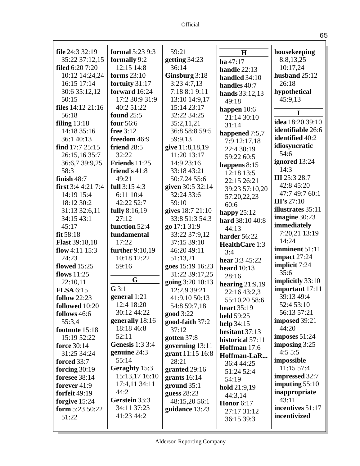| file $24:332:19$       | <b>formal</b> 5:23 9:3 | 59:21            | H                  | housekeeping            |
|------------------------|------------------------|------------------|--------------------|-------------------------|
| 35:22 37:12,15         | formally 9:2           | getting $34:23$  | ha 47:17           | 8:8,13,25               |
| <b>filed</b> 6:20 7:20 | 12:15 14:8             | 36:14            | handle 22:13       | 10:17,24                |
| 10:12 14:24,24         | forms $23:10$          | Ginsburg 3:18    | handled 34:10      | husband $25:12$         |
| 16:15 17:14            | fortuity 31:17         | 3:234:7,13       | handles 40:7       | 26:18                   |
| 30:6 35:12,12          | forward 16:24          | 7:18 8:1 9:11    | hands $33:12,13$   | hypothetical            |
| 50:15                  | 17:2 30:9 31:9         | 13:10 14:9,17    | 49:18              | 45:9,13                 |
| files 14:12 21:16      | 40:2 51:22             | 15:14 23:17      | happen $10:6$      |                         |
| 56:18                  | <b>found</b> 25:5      | 32:22 34:25      | 21:14 30:10        | 1                       |
| filing $13:18$         | four 56:6              | 35:2,11,21       | 31:14              | <b>idea</b> 18:20 39:10 |
| 14:18 35:16            | free $3:12$            | 36:8 58:8 59:5   | happened 7:5,7     | identifiable 26:6       |
| 36:1 40:13             | freedom 46:9           | 59:9,13          | 7:9 12:17,18       | identified 40:2         |
| find 17:7 25:15        | friend 28:5            | give 11:8,18,19  | 22:4 30:19         | idiosyncratic           |
| 26:15,16 35:7          | 32:22                  | 11:20 13:17      | 59:22 60:5         | 54:6                    |
| 36:6,7 39:9,25         | Friends 11:25          | 14:9 23:16       | happens $8:15$     | ignored 13:24           |
| 58:3                   | friend's 41:8          | 33:18 43:21      | 12:18 13:5         | 14:3                    |
| finish $48:7$          | 49:21                  | 50:7,24 55:6     | 22:15 26:21        | <b>III</b> 25:3 28:7    |
| first $3:44:217:4$     | full 3:15 4:3          | given 30:5 32:14 | 39:23 57:10,20     | 42:8 45:20              |
| 14:19 15:4             | 6:11 10:4              | 32:24 33:6       | 57:20,22,23        | 47:7 49:7 60:1          |
| 18:12 30:2             | 42:22 52:7             | 59:10            | 60:6               | III's $27:10$           |
| 31:13 32:6,11          | fully 8:16,19          | gives 18:7 21:10 | happy $25:12$      | illustrates 35:11       |
| 34:15 43:1             | 27:12                  | 33:8 51:3 54:3   | hard 38:10 40:8    | imagine 30:23           |
| 45:17                  | function 52:4          | go 17:1 31:9     | 44:13              | immediately             |
| fit $58:18$            | fundamental            | 33:22 37:9,12    | harder 56:22       | 7:20,21 13:19           |
| <b>Flast</b> 39:18,18  | 17:22                  | 37:15 39:10      | HealthCare 1:3     | 14:24                   |
| flow 4:11 $15:3$       | further 9:10,19        | 46:20 49:11      | 3:4                | imminent 51:11          |
| 24:23                  | 10:18 12:22            | 51:13,21         | hear 3:3 45:22     | impact $27:24$          |
| flowed $15:25$         | 59:16                  | goes 15:19 16:23 | heard $10:13$      | implicit 7:24           |
| flows 11:25            |                        | 31:22 39:17,25   | 28:16              | 35:6                    |
| 22:10,11               | G                      | going 3:20 10:13 | hearing $21:9,19$  | implicitly 33:10        |
| <b>FLSA</b> 6:15       | $G$ 3:1                | 12:2,9 39:21     | 22:16 43:2,3       | important 17:11         |
| <b>follow</b> 22:23    | general 1:21           | 41:9,10 50:13    | 55:10,20 58:6      | 39:13 49:4              |
| followed 10:20         | 12:4 18:20             | 54:8 59:7,18     | <b>heart</b> 35:19 | 52:4 53:10              |
| follows 46:6           | 30:12 44:22            | <b>good</b> 3:22 | held 59:25         | 56:13 57:21             |
| 55:3,4                 | generally 18:16        | good-faith 37:2  | help $34:15$       | imposed 39:21           |
| footnote 15:18         | 18:18 46:8             | 37:12            | hesitant 37:13     | 44:20                   |
| 15:19 52:22            | 52:11                  | gotten 37:8      | historical 57:11   | imposes $51:24$         |
| force 30:14            | <b>Genesis</b> 1:3 3:4 | governing 13:11  | Hoffman 17:6       | imposing $3:25$         |
| 31:25 34:24            | genuine 24:3           | grant 11:15 16:8 | Hoffman-LaR        | 4:55:5                  |
| forced 33:7            | 55:14                  | 28:21            | 36:4 44:25         | impossible              |
| forcing $30:19$        | Geraghty 15:3          | granted 29:16    | 51:24 52:4         | 11:15 57:4              |
| <b>foresee</b> 38:14   | 15:13,17 16:10         | grants $16:14$   | 54:19              | impressed 32:7          |
| forever 41:9           | 17:4,11 34:11          | ground $35:1$    | hold 21:9,19       | imputing $55:10$        |
| forfeit 49:19          | 44:2                   | guess $28:23$    | 44:3,14            | inappropriate           |
| forgive $15:24$        | Gerstein 33:3          | 48:15,20 56:1    | <b>Honor</b> 6:17  | 43:11                   |
| form 5:23 50:22        | 34:11 37:23            | guidance 13:23   | 27:17 31:12        | incentives 51:17        |
| 51:22                  | 41:23 44:2             |                  | 36:15 39:3         | incentivized            |
|                        |                        |                  |                    |                         |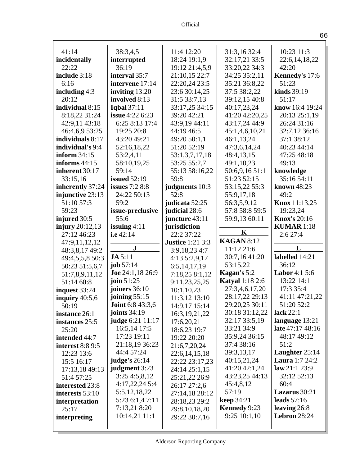| 41:14                            | 38:3,4,5                          | 11:4 12:20                        | 31:3,16 32:4                        | 10:23 11:3                       |
|----------------------------------|-----------------------------------|-----------------------------------|-------------------------------------|----------------------------------|
| incidentally                     | interrupted<br>36:19              | 18:24 19:1,9                      | 32:17,21 33:5                       | 22:6,14,18,22<br>42:20           |
| 22:22                            |                                   | 19:12 21:4,5,9                    | 33:20,22 34:3<br>34:25 35:2,11      |                                  |
| include 3:18                     | interval 35:7                     | 21:10,15 22:7                     |                                     | Kennedy's 17:6                   |
| 6:16                             | intervene 17:14                   | 22:20,24 23:5                     | 35:21 36:8,22                       | 51:23                            |
| including $4:3$                  | inviting 13:20                    | 23:6 30:14,25                     | 37:5 38:2,22                        | kinds 39:19                      |
| 20:12                            | involved 8:13                     | 31:5 33:7,13                      | 39:12,15 40:8                       | 51:17                            |
| individual 8:15                  | <b>Iqbal</b> 37:11                | 33:17,25 34:15                    | 40:17,23,24                         | know 16:4 19:24                  |
| 8:18,22 31:24                    | issue 4:22 6:23                   | 39:20 42:21                       | 41:20 42:20,25                      | 20:13 25:1,19                    |
| 42:9,11 43:18                    | 6:25 8:13 17:4                    | 43:9,19 44:11                     | 43:17,24 44:9                       | 26:24 31:16                      |
| 46:4,6,9 53:25                   | 19:25 20:8                        | 44:19 46:5                        | 45:1,4,6,10,21                      | 32:7,12 36:16                    |
| individuals 8:17                 | 43:20 49:21                       | 49:20 50:1,1                      | 46:1,13,24                          | 37:1 38:12                       |
| individual's 9:4                 | 52:16,18,22                       | 51:20 52:19                       | 47:3,6,14,24                        | 40:23 44:14                      |
| inform $34:15$                   | 53:2,4,11                         | 53:1,3,7,17,18                    | 48:4,13,15                          | 47:25 48:18                      |
| informs $44:15$                  | 58:10,19,25                       | 53:25 55:2,7                      | 49:1,10,23                          | 49:13                            |
| inherent 30:17                   | 59:14                             | 55:13 58:16,22                    | 50:6,9,16 51:1                      | knowledge                        |
| 33:15,16                         | <b>issued</b> 52:19               | 59:8                              | 51:23 52:15                         | 35:16 54:11                      |
| inherently 37:24                 | issues $7:28:8$                   | judgments 10:3                    | 53:15,22 55:3                       | known 48:23                      |
| injunctive 23:13                 | 24:22 50:13                       | 52:8                              | 55:9,17,18                          | 49:2                             |
| 51:10 57:3                       | 59:2                              | judicata 52:25                    | 56:3,5,9,12                         | Knox 11:13,25                    |
| 59:23                            | issue-preclusive                  | judicial 28:6                     | 57:8 58:8 59:5                      | 19:23,24                         |
| injured 30:5                     | 55:6                              | juncture $43:11$                  | 59:9,13 60:11                       | <b>Knox's 20:16</b>              |
| injury $20:12,13$                | issuing $4:11$                    | jurisdiction                      | K                                   | <b>KUMAR</b> 1:18                |
| 27:12 46:23                      | i.e 42:14                         | 22:2 37:22                        | <b>KAGAN 8:12</b>                   | 2:6 27:4                         |
| 47:9,11,12,12                    | ${\bf J}$                         | <b>Justice</b> 1:21 3:3           | 11:12 21:6                          | L                                |
| 48:3,8,17 49:2                   | <b>JA</b> 5:11                    | 3:9,18,23 4:7                     | 30:7,16 41:20                       | labelled 14:21                   |
| 49:4,5,5,8 50:3                  | job $57:14$                       | 4:135:2,9,17<br>6:5,14,17,19      | 53:15,22                            | 36:12                            |
| 50:23 51:5,6,7<br>51:7,8,9,11,12 | Joe 24:1,18 26:9                  | 7:18,25 8:1,12                    | Kagan's 5:2                         | <b>Labor</b> 4:1 5:6             |
| 51:14 60:8                       | join $51:25$                      | 9:11,23,25,25                     | <b>Katyal</b> 1:18 2:6              | 13:22 14:1                       |
| inquest 33:24                    | joiners 36:10                     | 10:1,10,23                        | 27:3,4,6,17,20                      | 17:3 35:4                        |
| inquiry $40:5,6$                 | joining $55:15$                   | 11:3,12 13:10                     | 28:17,22 29:13                      | 41:11 47:21,22                   |
| 50:19                            | <b>Joint 6:8 43:3,6</b>           | 14:9,17 15:14                     | 29:20,25 30:11                      | 51:20 52:2                       |
| instance 26:1                    | <b>joints</b> 34:19               | 16:3, 19, 21, 22                  | 30:18 31:12,22                      | lack $22:1$                      |
| instances 25:5                   | judge 6:21 11:17                  | 17:6,20,21                        | 32:17 33:5,19                       | language 13:21                   |
| 25:20                            | 16:5,14 17:5                      | 18:6,23 19:7                      | 33:21 34:9                          | late 47:17 48:16                 |
| intended 44:7                    | 17:23 19:11                       | 19:22 20:20                       | 35:9,24 36:15                       | 48:17 49:12                      |
| <b>interest 8:8 9:5</b>          | 21:18,19 36:23                    | 21:6,7,20,24                      | 37:4 38:16                          | 51:2                             |
| 12:23 13:6                       | 44:4 57:24                        | 22:6, 14, 15, 18                  | 39:3,13,17                          | Laughter 25:14                   |
| 15:5 16:17                       | <b>judge's</b> 26:14              | 22:22 23:17,23                    | 40:15,21,24                         | <b>Laura</b> 1:7 24:2            |
| 17:13,18 49:13                   | judgment 3:23                     | 24:14 25:1,15                     | 41:20 42:1,24                       | law 21:1 23:9                    |
| 51:4 57:25                       | 3:254:5,8,12                      | 25:21,22 26:9                     | 43:23,25 44:13                      | 32:12 52:13                      |
|                                  |                                   |                                   | 45:4,8,12                           | 60:4                             |
|                                  |                                   |                                   |                                     |                                  |
| interested 23:8                  | 4:17,22,24 5:4                    | 26:17 27:2,6                      |                                     |                                  |
| interests 53:10                  | 5:5,12,18,22                      | 27:14,18 28:12                    | 57:19                               | Lazarus 30:21                    |
| interpretation                   | 5:23 6:1,4 7:11                   | 28:18,23 29:2                     | <b>keep</b> 34:21                   | leads $57:16$                    |
| 25:17<br>interpreting            | 7:13,21 8:20<br>$10:14,21$ $11:1$ | 29:8, 10, 18, 20<br>29:22 30:7,16 | <b>Kennedy</b> 9:23<br>9:25 10:1,10 | leaving $26:8$<br>Lebron $28:24$ |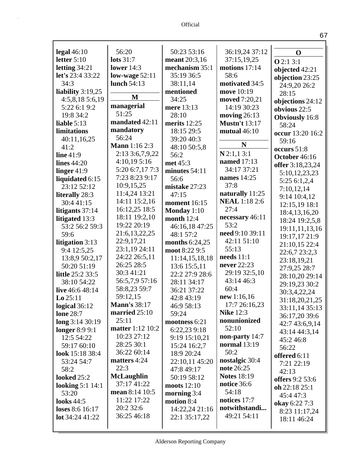| legal $46:10$           | 56:20                | 50:23 53:16         | 36:19,24 37:12       | $\mathbf 0$           |
|-------------------------|----------------------|---------------------|----------------------|-----------------------|
| letter $5:10$           | lots $31:7$          | meant 20:3,16       | 37:15,19,25          | Q2:13:1               |
| letting 34:21           | lower $14:3$         | mechanism 35:1      | motions 17:14        | objected 42:21        |
| <b>let's</b> 23:4 33:22 | low-wage $52:11$     | 35:19 36:5          | 58:6                 | objection 23:25       |
| 34:3                    | lunch 54:13          | 38:11,14            | motivated 34:5       | 24:9,20 26:2          |
| liability $3:19,25$     |                      | mentioned           | move 10:19           | 28:15                 |
| 4:5,8,185:6,19          | M                    | 34:25               | moved 7:20,21        | objections 24:12      |
| 5:22 6:1 9:2            | managerial           | mere 13:13          | 14:19 30:23          | obvious $22:5$        |
| 19:8 34:2               | 51:25                | 28:10               | moving $26:13$       | <b>Obviously</b> 16:8 |
| liable $5:13$           | mandated 42:11       | merits $12:25$      | <b>Mustn't 13:17</b> | 58:24                 |
| limitations             | mandatory            | 18:15 29:5          | mutual $46:10$       | occur 13:20 16:2      |
| 40:11,16,25             | 56:24                | 39:20 40:3          |                      | 59:16                 |
| 41:2                    | <b>Mann</b> 1:16 2:3 | 48:10 50:5,8        | N                    | occurs 51:8           |
| line $41:9$             | 2:13 3:6,7,9,22      | 56:2                | $N$ 2:1,1 3:1        | October 46:16         |
| lines $44:20$           | 4:10,195:16          | met 45:3            | named 17:13          |                       |
| linger $41:9$           | 5:20 6:7,17 7:3      | minutes 54:11       | 34:17 37:21          | offer 3:18,23,24      |
| liquidated 6:15         | 7:23 8:23 9:17       | 56:6                | names 14:25          | 5:10,12,23,23         |
| 23:12 52:12             | 10:9,15,25           | mistake 27:23       | 37:8                 | 5:25 6:1,2,4          |
| literally 28:3          | 11:4,24 13:21        | 47:15               | naturally 11:25      | 7:10,12,14            |
| 30:4 41:15              | 14:11 15:2,16        | <b>moment</b> 16:15 | <b>NEAL</b> 1:18 2:6 | 9:14 10:4,12          |
| litigants 37:14         | 16:12,25 18:5        | Monday $1:10$       | 27:4                 | 12:15,19 18:1         |
| litigated 13:3          | 18:11 19:2,10        | month $12:4$        | necessary 46:11      | 18:4, 13, 16, 20      |
| 53:2 56:2 59:3          | 19:22 20:19          | 46:16,18 47:25      | 53:2                 | 18:24 19:2,5,8        |
| 59:6                    | 21:6,13,22,25        | 48:1 57:2           | need 9:10 39:11      | 19:11,11,13,16        |
| litigation 3:13         | 22:9,17,21           | months $6:24,25$    | 42:11 51:10          | 19:17,17 21:9         |
| 9:4 12:5,25             | 23:1,19 24:11        | moot 8:22 9:5       | 55:13                | 21:10,15 22:4         |
| 13:8,9 50:2,17          | 24:22 26:5,11        | 11:14,15,18,18      | needs $11:1$         | 22:6,7 23:2,3         |
| 50:20 51:19             | 26:25 28:5           | 13:6 15:5,11        | never 22:23          | 23:18,19,21           |
| <b>little</b> 25:2 33:5 | 30:3 41:21           | 22:2 27:9 28:6      | 29:19 32:5,10        | 27:9,25 28:7          |
| 38:10 54:22             | 56:5,7,9 57:16       | 28:11 34:17         | 43:14 46:3           | 28:10,20 29:14        |
| live 46:6 48:14         | 58:8,23 59:7         | 36:21 37:22         | 60:4                 | 29:19,23 30:2         |
| $Lo$ 25:11              | 59:12,15             | 42:8 43:19          | new 1:16,16          | 30:3,4,22,24          |
| logical 36:12           | <b>Mann's 38:17</b>  | 46:9 58:13          | 17:7 26:16,23        | 31:18,20,21,25        |
| <b>lone 28:7</b>        | married 25:10        | 59:24               | <b>Nike 12:3</b>     | 33:11,14 35:13        |
| long 3:14 30:19         | 25:11                | mootness 6:21       | nonunionized         | 36:17,20 39:6         |
| longer 8:9 9:1          | matter 1:12 10:2     | 6:22,23 9:18        | 52:10                | 42:7 43:6,9,14        |
| 12:5 54:22              | 10:23 27:12          | 9:19 15:10,21       | non-party 14:7       | 43:14 44:3,14         |
| 59:17 60:10             | 28:25 30:1           | 15:24 16:2,7        | <b>normal</b> 13:19  | 45:246:8              |
| look 15:18 38:4         | 36:22 60:14          | 18:9 20:24          | 50:2                 | 56:22                 |
| 53:24 54:7              | matters 4:24         | 22:10,11 45:20      | nostalgic 30:4       | offered 6:11          |
| 58:2                    | 22:3                 | 47:8 49:17          | note 26:25           | 7:21 22:19            |
| looked 25:2             | <b>McLaughlin</b>    | 50:19 58:12         | <b>Notes 18:19</b>   | 42:13                 |
| looking $5:1$ 14:1      | 37:17 41:22          | moots $12:10$       | notice 36:6          | offers 9:2 53:6       |
| 53:20                   | mean 8:14 10:5       | morning $3:4$       | 54:18                | oh 22:18 25:1         |
| <b>looks</b> 44:5       | 11:22 17:22          | motion 8:4          | notices 17:7         | 45:447:3              |
| loses 8:6 16:17         | 20:2 32:6            | 14:22,24 21:16      | notwithstandi        | okay 6:22 7:3         |
| lot 34:24 41:22         | 36:25 46:18          | 22:1 35:17,22       | 49:21 54:11          | 8:23 11:17,24         |
|                         |                      |                     |                      | 18:11 46:24           |
|                         |                      |                     |                      |                       |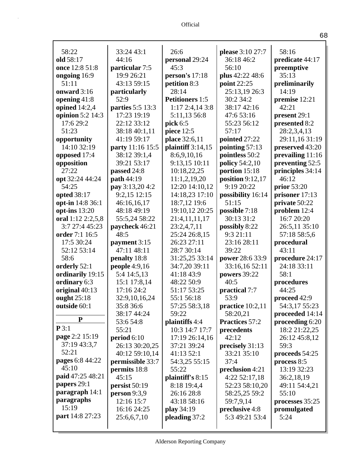| 58:22                  | 33:24 43:1       | 26:6                   | please 3:10 27:7      | 58:16            |
|------------------------|------------------|------------------------|-----------------------|------------------|
| old 58:17              | 44:16            | personal 29:24         | 36:18 46:2            | predicate 44:17  |
| once 12:8 51:8         | particular 7:5   | 45:3                   | 56:10                 | preemptive       |
| ongoing 16:9           | 19:9 26:21       | person's 17:18         | plus 42:22 48:6       | 35:13            |
| 51:11                  | 43:13 59:15      | petition 8:3           | point 22:25           | preliminarily    |
| onward 3:16            | particularly     | 28:14                  | 25:13,19 26:3         | 14:19            |
| opening 41:8           | 52:9             | <b>Petitioners 1:5</b> | 30:2 34:2             | premise 12:21    |
| opined $14:2,4$        | parties 5:5 13:3 | $1:17$ 2:4,14 3:8      | 38:17 42:16           | 42:21            |
| opinion 5:2 14:3       | 17:23 19:19      | 5:11,13 56:8           | 47:6 53:16            | present 29:1     |
| 17:6 29:2              | 22:12 33:12      | pick 6:5               | 55:23 56:12           | presented 8:2    |
| 51:23                  | 38:18 40:1,11    | piece 12:5             | 57:17                 | 28:2,3,4,13      |
| opportunity            | 41:19 59:17      | place 32:6,11          | pointed 27:22         | 29:11,16 31:19   |
| 14:10 32:19            | party 11:16 15:5 | plaintiff 3:14,15      | pointing $57:13$      | preserved 43:20  |
| opposed 17:4           | 38:12 39:1,4     | 8:6,9,10,16            | pointless 50:2        | prevailing 11:16 |
| opposition             | 39:21 53:17      | 9:13,15 10:11          | <b>policy</b> 54:2,10 | preventing 52:5  |
| 27:22                  | passed 24:8      | 10:18,22,25            | portion 15:18         | principles 34:14 |
| opt 32:24 44:24        | path 44:19       | 11:1,2,19,20           | position $9:12,17$    | 46:12            |
| 54:25                  | pay 3:13,20 4:2  | 12:20 14:10,12         | 9:19 20:22            | prior 53:20      |
| opted 38:17            | 9:2,15 12:15     | 14:18,23 17:10         | possibility 16:14     | prisoner 17:13   |
| opt-in 14:8 36:1       | 46:16,16,17      | 18:7,12 19:6           | 51:15                 | private 50:22    |
| opt-ins $13:20$        | 48:18 49:19      | 19:10,12 20:25         | possible 7:18         | problem 12:4     |
| oral 1:12 2:2,5,8      | 55:5,24 58:22    | 21:4,11,11,17          | 30:13 31:2            | 16:7 20:20       |
| 3:7 27:4 45:23         | paycheck 46:21   | 23:2,4,7,11            | possibly 8:22         | 26:5,11 35:10    |
| order 7:1 16:5         | 48:5             | 25:24 26:8,15          | 9:3 21:11             | 57:18 58:5,6     |
| 17:5 30:24             | payment 3:15     | 26:23 27:11            | 23:16 28:11           | procedural       |
| 52:12 53:14            | 47:11 48:11      | 28:7 30:14             | 39:22                 | 43:11            |
| 58:6                   | penalty 18:8     | 31:25,25 33:14         | power 28:6 33:9       | procedure 24:17  |
| orderly 52:1           | people $4:9,16$  | 34:7,20 39:11          | 33:16,16 52:11        | 24:18 33:11      |
| ordinarily 19:15       | 5:4 14:5,13      | 41:18 43:9             | powers 39:22          | 58:1             |
| ordinary 6:3           | 15:1 17:8,14     | 48:22 50:9             | 40:5                  | procedures       |
| original 40:13         | 17:16 24:2       | 51:17 53:25            | practical 7:7         | 44:25            |
| ought 25:18            | 32:9,10,16,24    | 55:1 56:18             | 53:9                  | proceed 42:9     |
| outside 60:1           | 35:8 36:6        | 57:25 58:3,18          | practice $10:2,11$    | 54:3,17 55:23    |
|                        | 38:17 44:24      | 59:22                  | 58:20,21              | proceeded 14:14  |
| P                      | 53:6 54:8        | plaintiffs 4:4         | Practices 57:2        | proceeding 6:20  |
| P3:1                   | 55:21            | 10:3 14:7 17:7         | precedents            | 18:2 21:22,25    |
| page 2:2 15:19         | period $6:10$    | 17:19 26:14,16         | 42:12                 | 26:12 45:8,12    |
| 37:19 43:3,7           | 26:13 30:20,25   | 37:21 39:24            | precisely 31:13       | 59:3             |
| 52:21                  | 40:12 59:10,14   | 41:13 52:1             | 33:21 35:10           | proceeds 54:25   |
| <b>pages</b> 6:8 44:22 | permissible 33:7 | 54:3,25 55:15          | 37:4                  | process 8:5      |
| 45:10                  | permits 18:8     | 55:22                  | preclusion 4:21       | 13:19 32:23      |
| paid 47:25 48:21       | 45:15            | plaintiff's 8:15       | 4:22 52:17,18         | 36:2,18,19       |
| papers 29:1            | persist 50:19    | 8:18 19:4,4            | 52:23 58:10,20        | 49:11 54:4,21    |
| paragraph 14:1         | person 9:3,9     | 26:16 28:8             | 58:25,25 59:2         | 55:10            |
| paragraphs             | 12:16 15:7       | 43:18 58:16            | 59:7,9,14             | processes 35:25  |
| 15:19                  | 16:16 24:25      | play 34:19             | preclusive 4:8        | promulgated      |
| <b>part</b> 14:8 27:23 | 25:6,6,7,10      | pleading 37:2          | 5:3 49:21 53:4        | 5:24             |
|                        |                  |                        |                       |                  |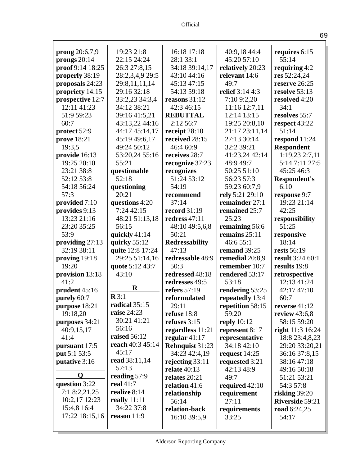| <b>prong</b> $20:6,7,9$      | 19:23 21:8          | 16:18 17:18                    | 40:9,18 44:4                        | requires 6:15                  |
|------------------------------|---------------------|--------------------------------|-------------------------------------|--------------------------------|
| prongs $20:14$               | 22:15 24:24         | 28:1 33:1                      | 45:20 57:10                         | 55:14                          |
| proof 9:14 18:25             | 26:3 27:8,15        | 34:18 39:14,17                 | relatively 20:23                    | requiring $4:2$                |
| properly 38:19               | 28:2,3,4,9 29:5     | 43:10 44:16                    | relevant 14:6                       | res 52:24,24                   |
| proposals 24:23              | 29:8,11,11,14       | 45:13 47:15                    | 49:7                                | reserve 26:25                  |
| propriety 14:15              | 29:16 32:18         | 54:13 59:18                    | relief 3:14 4:3                     | resolve 53:13                  |
| prospective 12:7             | 33:2,23 34:3,4      | reasons 31:12                  | 7:10 9:2,20                         | resolved 4:20                  |
| 12:11 41:23                  | 34:12 38:21         | 42:3 46:15                     | 11:16 12:7,11                       | 34:1                           |
| 51:9 59:23                   | 39:16 41:5,21       | <b>REBUTTAL</b>                | 12:14 13:15                         | resolves 55:7                  |
| 60:7                         | 43:13,22 44:16      | 2:12 56:7                      | 19:25 20:8,10                       | respect 43:22                  |
| protect 52:9                 | 44:17 45:14,17      | receipt 28:10                  | 21:17 23:11,14                      | 51:14                          |
| prove 18:21                  | 45:19 49:6,17       | received 28:15                 | 27:13 30:14                         | respond 11:24                  |
| 19:3,5                       | 49:24 50:12         | 46:4 60:9                      | 32:2 39:21                          | <b>Respondent</b>              |
| provide 16:13                | 53:20,24 55:16      | receives 28:7                  | 41:23,24 42:14                      | 1:19,23 2:7,11                 |
| 19:25 20:10                  | 55:21               | recognize 37:23                | 48:9 49:7                           | 5:14 7:11 27:5                 |
| 23:21 38:8                   | questionable        | recognizes                     | 50:25 51:10                         | 45:25 46:3                     |
| 52:12 53:8                   | 52:18               | 51:24 53:12                    | 56:23 57:3                          | <b>Respondent's</b>            |
| 54:18 56:24                  | questioning         | 54:19                          | 59:23 60:7,9                        | 6:10                           |
| 57:3                         | 20:21               | recommend                      | rely 5:21 29:10                     | response 9:7                   |
| provided 7:10                | questions 4:20      | 37:14                          | remainder 27:1                      | 19:23 21:14                    |
| provides 9:13                | 7:24 42:15          | <b>record</b> 31:19            | remained 25:7                       | 42:25                          |
| 13:23 21:16                  | 48:21 51:13,18      | redress 47:11                  | 25:23                               | responsibility                 |
| 23:20 35:25                  | 56:15               | 48:10 49:5,6,8                 | remaining 56:6                      | 51:25                          |
| 53:9                         | quickly 41:14       | 50:21                          | remains $25:11$                     | responsive                     |
| providing $27:13$            | quirky $55:12$      | <b>Redressability</b>          | 46:6 55:1                           | 18:14                          |
| 32:19 38:11                  | quite 12:8 17:24    | 47:13                          | remand 39:25                        | rests 56:19                    |
| proving 19:18                | 29:25 51:14,16      | redressable 48:9               | remedial 20:8,9                     | result 3:24 60:1               |
| 19:20                        | quote 5:12 43:7     | 50:3                           | remember 10:7                       | results 19:8                   |
| provision 13:18              | 43:10               | redressed 48:18                | rendered 53:17<br>53:18             | retrospective                  |
| 41:2                         | $\mathbf R$         | redresses 49:5<br>refers 57:19 |                                     | 12:13 41:24                    |
| prudent 45:16                | $\mathbb{R}3:1$     | reformulated                   | rendering 53:25                     | 42:17 47:10<br>60:7            |
| purely 60:7<br>purpose 18:21 | radical 35:15       | 29:11                          | repeatedly 13:4<br>repetition 58:15 |                                |
|                              | <b>raise</b> 24:23  |                                | 59:20                               | reverse 41:12                  |
| 19:18,20                     | 30:21 41:21         | refuse 18:8<br>refuses $3:15$  | reply $10:12$                       | review $43:6,8$<br>58:15 59:20 |
| purposes 34:21<br>40:9,15,17 | 56:16               | regardless 11:21               | represent 8:17                      | <b>right</b> 11:3 16:24        |
| 41:4                         | <b>raised</b> 56:12 | regular $41:17$                | representative                      | 18:8 23:4,8,23                 |
| pursuant 17:5                | reach 40:3 45:14    | Rehnquist 31:23                | 34:18 42:10                         | 29:20 33:20,21                 |
| put 5:1 53:5                 | 45:17               | 34:23 42:4,19                  | request $14:25$                     | 36:16 37:8,15                  |
| putative 3:16                | read 38:11,14       | rejecting $33:11$              | requested 3:21                      | 38:16 47:18                    |
|                              | 57:13               | relate $40:13$                 | 42:13 48:9                          | 49:16 50:18                    |
| O                            | reading 57:9        | relates 20:21                  | 49:7                                | 51:21 53:21                    |
| question 3:22                | real 41:7           | relation 41:6                  | required $42:10$                    | 54:3 57:8                      |
| 7:18:2,21,25                 | realize 8:14        | relationship                   | requirement                         | risking $39:20$                |
| 10:2,17 12:23                | really $11:11$      | 56:14                          | 27:11                               | Riverside 59:21                |
| 15:4,8 16:4                  | 34:22 37:8          | relation-back                  | requirements                        | road 6:24,25                   |
| 17:22 18:15,16               | reason $11:9$       | 16:10 39:5,9                   | 33:25                               | 54:17                          |
|                              |                     |                                |                                     |                                |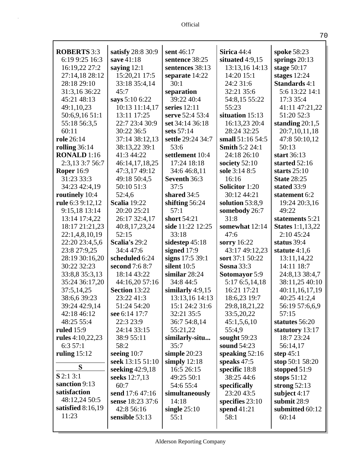| г<br>10. |  |
|----------|--|
|          |  |

| <b>ROBERTS</b> 3:3  | satisfy 28:8 30:9    | sent 46:17         | Sirica 44:4           | spoke 58:23             |
|---------------------|----------------------|--------------------|-----------------------|-------------------------|
| 6:19 9:25 16:3      | save 41:18           | sentence 38:25     | situated $4:9,15$     | springs $20:13$         |
| 16:19,22 27:2       | saying $12:1$        | sentences 38:13    | 13:13,16 14:13        | stage $50:17$           |
| 27:14,18 28:12      | 15:20,21 17:5        | separate 14:22     | 14:20 15:1            | stages $12:24$          |
| 28:18 29:10         | 33:18 35:4,14        | 30:1               | 24:2 31:6             | <b>Standards</b> 4:1    |
| 31:3,16 36:22       | 45:7                 | separation         | 32:21 35:6            | 5:6 13:22 14:1          |
| 45:21 48:13         | says 5:10 6:22       | 39:22 40:4         | 54:8,15 55:22         | 17:3 35:4               |
| 49:1,10,23          | 10:13 11:14,17       | series $12:11$     | 55:23                 | 41:11 47:21,22          |
| 50:6,9,16 51:1      | 13:11 17:25          | serve 52:4 53:4    | situation 15:13       | 51:20 52:3              |
| 55:18 56:3,5        | 22:7 23:4 30:9       | set 34:14 36:18    | 16:13,23 20:4         | standing $20:1,5$       |
| 60:11               | 30:22 36:5           | sets 57:14         | 28:24 32:25           | 20:7,10,11,18           |
| role 26:14          | 37:14 38:12,13       | settle 29:24 34:7  | small 51:16 54:5      | 47:8 50:10,12           |
| rolling $36:14$     | 38:13,22 39:1        | 53:6               | <b>Smith 5:2 24:1</b> | 50:13                   |
| <b>RONALD</b> 1:16  | 41:3 44:22           | settlement 10:4    | 24:18 26:10           | start 36:13             |
| 2:3,13 3:7 56:7     | 46:14,17,18,25       | 17:24 18:18        | society $52:10$       | started 52:16           |
| <b>Roper 16:9</b>   | 47:3,17 49:12        | 34:6 46:8,11       | sole 3:14 8:5         | starts $25:10$          |
| 31:23 33:3          | 49:18 50:4,5         | Seventh 36:3       | 16:16                 | <b>State 28:25</b>      |
| 34:23 42:4,19       | 50:10 51:3           | 37:5               | <b>Solicitor</b> 1:20 | stated 33:9             |
| routinely 10:4      | 52:4,6               | shared 34:5        | 30:12 44:21           | statement 6:2           |
| rule 6:3 9:12,12    | <b>Scalia</b> 19:22  | shifting $56:24$   | solution $53:8,9$     | 19:24 20:3,16           |
| 9:15,18 13:14       | 20:20 25:21          | 57:1               | somebody 26:7         | 49:22                   |
| 13:14 17:4,22       | 26:17 32:4,17        | short 54:21        | 31:8                  | statements 5:21         |
| 18:17 21:21,23      | 40:8,17,23,24        | side 11:22 12:25   | somewhat 12:14        | <b>States</b> 1:1,13,22 |
| 22:1,4,8,10,19      | 52:15                | 33:18              | 47:6                  | 2:10 45:24              |
| 22:20 23:4,5,6      | Scalia's 29:2        | sidestep $45:18$   | sorry $16:22$         | status 39:4             |
| 23:8 27:9,25        | 34:4 47:6            | signed $17:9$      | 43:17 49:12,23        | statute $4:1,6$         |
| 28:19 30:16,20      | scheduled 6:24       | signs 17:5 39:1    | sort 37:1 50:22       | 13:11,14,22             |
| 30:22 32:23         | second 7:6 8:7       | silent $10:5$      | <b>Sosna</b> 33:3     | 14:11 18:7              |
| 33:8,8 35:3,13      | 18:14 43:22          | similar $28:24$    | <b>Sotomayor</b> 5:9  | 24:8,13 38:4,7          |
| 35:24 36:17,20      | 44:16,20 57:16       | 34:8 44:5          | 5:17 6:5,14,18        | 38:11,25 40:10          |
| 37:5,14,25          | <b>Section 13:22</b> | similarly $4:9,15$ | 16:21 17:21           | 40:11,16,17,19          |
| 38:6,6 39:23        | 23:22 41:3           | 13:13,16 14:13     | 18:6,23 19:7          | 40:25 41:2,4            |
| 39:24 42:9,14       | 51:24 54:20          | 15:1 24:2 31:6     | 29:8,18,21,22         | 56:19 57:6,6,9          |
| 42:18 46:12         | see 6:14 17:7        | 32:21 35:5         | 33:5,20,22            | 57:15                   |
| 48:25 55:4          | 22:3 23:9            | 36:7 54:8,14       | 45:1,5,6,10           | statutes 56:20          |
| ruled $15:9$        | 24:14 33:15          | 55:21,22           | 55:4,9                | statutory 13:17         |
| rules $4:10,22,23$  | 38:9 55:11           | similarly-situ     | sought $59:23$        | 18:7 23:24              |
| 6:357:1             | 58:2                 | 35:7               | sound 54:23           | 56:14,17                |
| ruling $15:12$      | seeing $10:7$        | simple $20:23$     | speaking $52:16$      | step $45:1$             |
|                     | seek 13:15 51:10     | simply $12:18$     | speaks $47:5$         | stop 50:1 58:20         |
| S                   | seeking 42:9,18      | 16:5 26:15         | specific 18:8         | stopped 51:9            |
| $S$ 2:1 3:1         | seeks 12:7,13        | 49:25 50:1         | 38:25 44:6            | stops $51:12$           |
| sanction 9:13       | 60:7                 | 54:6 55:4          | specifically          | strong $52:13$          |
| satisfaction        | send 17:6 47:16      | simultaneously     | 23:20 43:5            | subject $4:17$          |
| 48:12,24 50:5       | sense 18:23 37:6     | 14:18              | specifies $23:10$     | submit 28:9             |
| satisfied $8:16,19$ | 42:8 56:16           | single $25:10$     | spend $41:21$         | submitted 60:12         |
| 11:23               | sensible 53:13       | 55:1               | 58:1                  | 60:14                   |
|                     |                      |                    |                       |                         |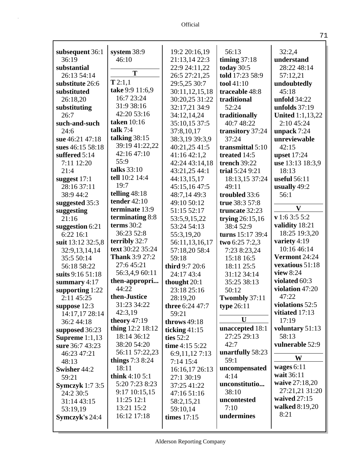| subsequent 36:1        | system 38:9           | 19:2 20:16,19            | 56:13             | 32:2,4                  |
|------------------------|-----------------------|--------------------------|-------------------|-------------------------|
| 36:19                  | 46:10                 | 21:13,14 22:3            | timing $37:18$    | understand              |
| substantial            | T                     | 22:9 24:11,22            | today $30:5$      | 28:22 48:14             |
| 26:13 54:14            |                       | 26:5 27:21,25            | told 17:23 58:9   | 57:12,21                |
| substitute 26:6        | T2:1,1                | 29:5,25 30:7             | tool 41:10        | undoubtedly             |
| substituted            | take 9:9 11:6,9       | 30:11,12,15,18           | traceable 48:8    | 45:18                   |
| 26:18,20               | 16:7 23:24            | 30:20,25 31:22           | traditional       | unfold $34:22$          |
| substituting           | 31:9 38:16            | 32:17,21 34:9            | 52:24             | unfolds $37:19$         |
| 26:7                   | 42:20 53:16           | 34:12,14,24              | traditionally     | <b>United 1:1,13,22</b> |
| such-and-such          | taken 10:16           | 35:10,15 37:5            | 40:7 48:22        | 2:10 45:24              |
| 24:6                   | talk $7:4$            | 37:8,10,17               | transitory 37:24  | unpack 7:24             |
| sue 46:21 47:18        | talking $38:15$       | 38:3,19 39:3,9           | 37:24             | unreviewable            |
| sues 46:15 58:18       | 39:19 41:22,22        | 40:21,25 41:5            | transmittal 5:10  | 42:15                   |
| suffered 5:14          | 42:16 47:10           | 41:16 42:1,2             | treated 14:5      | <b>upset</b> 17:24      |
| 7:11 12:20             | 55:9                  | 42:24 43:14,18           | trench 39:22      | use 13:13 18:3,9        |
| 21:4                   | talks 33:10           | 43:21,25 44:1            | trial 5:24 9:21   | 18:13                   |
| suggest $17:1$         | tell 10:2 14:4        | 44:13,15,17              | 18:13,15 37:24    | <b>useful</b> 56:11     |
| 28:16 37:11            | 19:7                  | 45:15,16 47:5            | 49:11             | usually 49:2            |
| 38:9 44:2              | telling $48:18$       | 48:7,14 49:3             | troubled 33:6     | 56:1                    |
| suggested 35:3         | <b>tender</b> 42:10   | 49:10 50:12              | true 38:3 57:8    |                         |
| suggesting             | terminate 13:9        | 51:15 52:17              | truncate 32:23    | $\mathbf{V}$            |
| 21:16                  | terminating 8:8       | 53:5,9,15,22             | trying $26:15,16$ | v 1:6 3:5 5:2           |
| suggestion 6:21        | terms $30:2$          | 53:24 54:13              | 38:4 52:9         | validity 18:21          |
| 6:22 16:1              | 36:23 52:8            | 55:3,19,20               | turns 15:17 39:4  | 18:25 19:3,20           |
| suit 13:12 32:5,8      | terribly 32:7         | 56:11,13,16,17           | two 6:25 7:2,3    | variety 4:19            |
| 32:9,13,14,14          | text 30:22 35:24      | 57:18,20 58:4            | 7:23 8:23,24      | 10:16 46:14             |
| 35:5 50:14             | <b>Thank 3:9 27:2</b> | 59:18                    | 15:18 16:5        | Vermont 24:24           |
| 56:18 58:22            | 27:645:21             | third 9:7 20:6           | 18:11 25:5        | vexatious 51:18         |
| suits 9:16 51:18       | 56:3,4,9 60:11        | 24:17 43:4               | 31:12 34:14       | view 8:24               |
| summary 4:17           | then-appropri         | thought 20:1             | 35:25 38:13       | violated 60:3           |
| supporting 1:22        | 44:22                 | 23:18 25:16              | 50:12             | violation 47:20         |
| 2:11 45:25             | then-Justice          | 28:19,20                 | Twombly 37:11     | 47:22                   |
| suppose $12:3$         | 31:23 34:22           | <b>three</b> $6:24$ 47:7 | type $26:11$      | violations 52:5         |
| 14:17,17 28:14         | 42:3,19               | 59:21                    |                   | vitiated 17:13          |
| 36:2 44:18             | theory $47:19$        | throws 49:18             | U                 | 17:19                   |
| supposed 36:23         | thing 12:2 18:12      | ticking $41:15$          | unaccepted 18:1   | voluntary 51:13         |
| Supreme $1:1,13$       | 18:14 36:12           | ties $52:2$              | 27:25 29:13       | 58:13                   |
| sure 36:7 43:23        | 38:20 54:20           | time 4:15 5:22           | 42:7              | vulnerable 52:9         |
| 46:23 47:21            | 56:11 57:22,23        | 6:9,11,12 7:13           | unartfully 58:23  | W                       |
| 48:13                  | things $7:38:24$      | 7:14 15:4                | 59:1              |                         |
| Swisher 44:2           | 18:11                 | 16:16,17 26:13           | uncompensated     | wages $6:11$            |
| 59:21                  | think $4:105:1$       | 27:1 30:19               | 4:14              | wait 36:11              |
| <b>Symczyk</b> 1:7 3:5 | 5:20 7:23 8:23        | 37:25 41:22              | unconstitutio     | waive 27:18,20          |
| 24:2 30:5              | $9:17$ 10:15,15       | 47:16 51:16              | 38:10             | 27:21,21 31:20          |
| 31:14 43:15            | 11:25 12:1            | 58:2,15,21               | uncontested       | waived 27:15            |
| 53:19,19               | 13:21 15:2            | 59:10,14                 | 7:10              | walked 8:19,20          |
| Symczyk's 24:4         | 16:12 17:18           | times $17:15$            | undermines        | 8:21                    |
|                        |                       |                          |                   |                         |